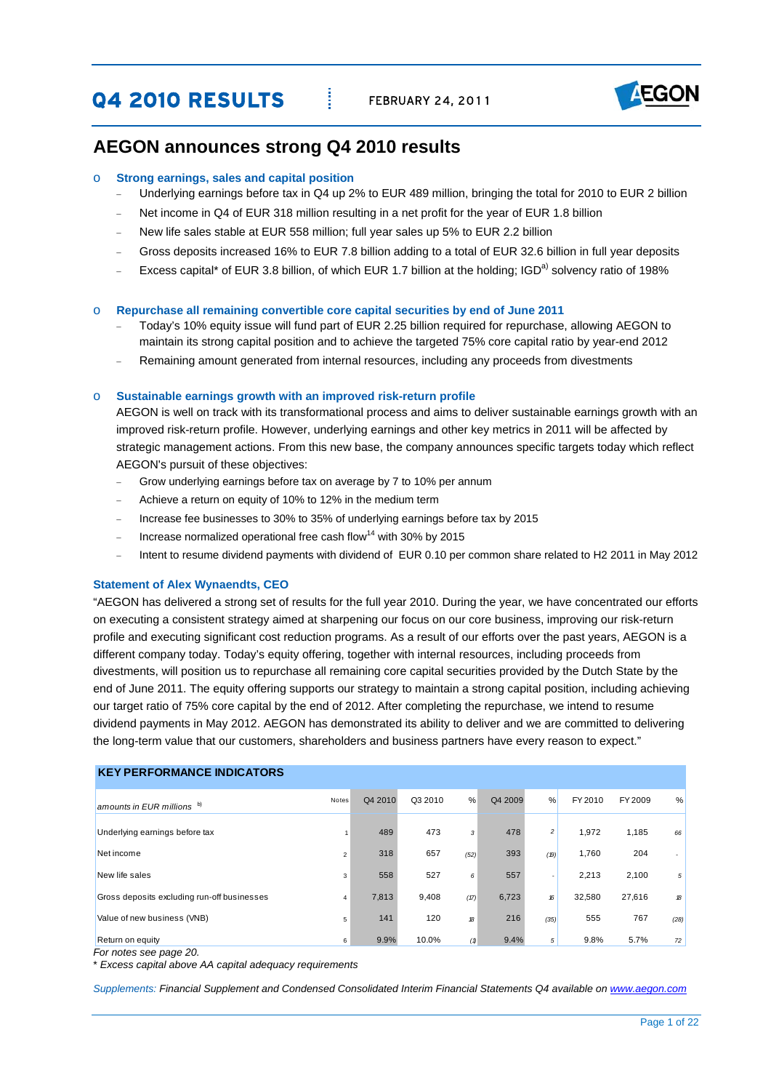**Q4 2010 RESULTS** FEBRUARY 24, 2011



# **AEGON announces strong Q4 2010 results**

## o **Strong earnings, sales and capital position**

- Underlying earnings before tax in Q4 up 2% to EUR 489 million, bringing the total for 2010 to EUR 2 billion
- Net income in Q4 of EUR 318 million resulting in a net profit for the year of EUR 1.8 billion
- New life sales stable at EUR 558 million; full year sales up 5% to EUR 2.2 billion
- − Gross deposits increased 16% to EUR 7.8 billion adding to a total of EUR 32.6 billion in full year deposits
- Excess capital\* of EUR 3.8 billion, of which EUR 1.7 billion at the holding; IGD<sup>a)</sup> solvency ratio of 198%

#### o **Repurchase all remaining convertible core capital securities by end of June 2011**

- − Today's 10% equity issue will fund part of EUR 2.25 billion required for repurchase, allowing AEGON to maintain its strong capital position and to achieve the targeted 75% core capital ratio by year-end 2012
- Remaining amount generated from internal resources, including any proceeds from divestments

#### o **Sustainable earnings growth with an improved risk-return profile**

AEGON is well on track with its transformational process and aims to deliver sustainable earnings growth with an improved risk-return profile. However, underlying earnings and other key metrics in 2011 will be affected by strategic management actions. From this new base, the company announces specific targets today which reflect AEGON's pursuit of these objectives:

- − Grow underlying earnings before tax on average by 7 to 10% per annum
- − Achieve a return on equity of 10% to 12% in the medium term
- − Increase fee businesses to 30% to 35% of underlying earnings before tax by 2015
- <sup>−</sup> Increase normalized operational free cash flow14 with 30% by 2015
- − Intent to resume dividend payments with dividend of EUR 0.10 per common share related to H2 2011 in May 2012

#### **Statement of Alex Wynaendts, CEO**

 the long-term value that our customers, shareholders and business partners have every reason to expect." "AEGON has delivered a strong set of results for the full year 2010. During the year, we have concentrated our efforts on executing a consistent strategy aimed at sharpening our focus on our core business, improving our risk-return profile and executing significant cost reduction programs. As a result of our efforts over the past years, AEGON is a different company today. Today's equity offering, together with internal resources, including proceeds from divestments, will position us to repurchase all remaining core capital securities provided by the Dutch State by the end of June 2011. The equity offering supports our strategy to maintain a strong capital position, including achieving our target ratio of 75% core capital by the end of 2012. After completing the repurchase, we intend to resume dividend payments in May 2012. AEGON has demonstrated its ability to deliver and we are committed to delivering

| <b>KEY PERFORMANCE INDICATORS</b>           |                |         |         |      |         |                         |         |         |                          |
|---------------------------------------------|----------------|---------|---------|------|---------|-------------------------|---------|---------|--------------------------|
| amounts in EUR millions b)                  | Notes          | Q4 2010 | Q3 2010 | %    | Q4 2009 | %                       | FY 2010 | FY 2009 | %                        |
| Underlying earnings before tax              |                | 489     | 473     | 3    | 478     | $\overline{\mathbf{c}}$ | 1,972   | 1,185   | 66                       |
| Net income                                  | $\overline{2}$ | 318     | 657     | (52) | 393     | (19)                    | 1,760   | 204     | $\overline{\phantom{a}}$ |
| New life sales                              | 3              | 558     | 527     | 6    | 557     | -                       | 2,213   | 2,100   | 5                        |
| Gross deposits excluding run-off businesses | $\overline{4}$ | 7,813   | 9,408   | (17) | 6,723   | 16                      | 32,580  | 27,616  | 18                       |
| Value of new business (VNB)                 | 5              | 141     | 120     | 18   | 216     | (35)                    | 555     | 767     | (28)                     |
| Return on equity                            | 6              | 9.9%    | 10.0%   | (1)  | 9.4%    | 5 <sup>5</sup>          | 9.8%    | 5.7%    | 72                       |

*For notes see page 20.* 

\* *Excess capital above AA capital adequacy requirements* 

*Supplements: Financial Supplement and Condensed Consolidated Interim Financial Statements Q4 available on [www.aegon.com](http://www.aegon.com/)*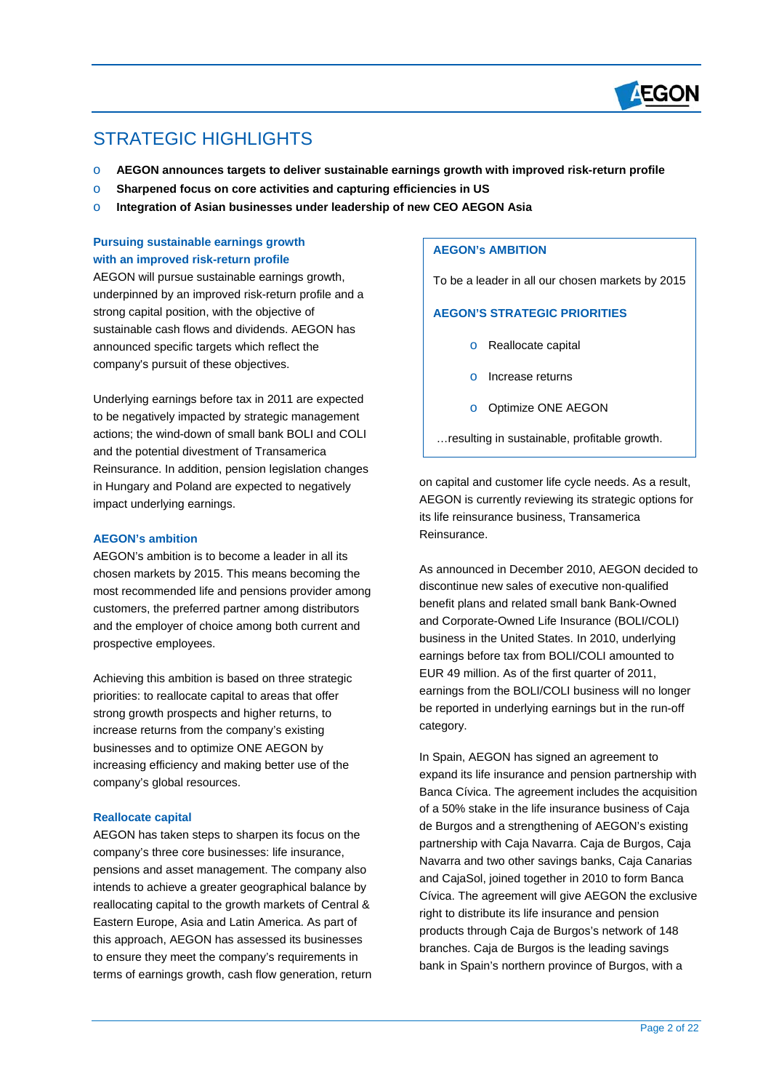

# STRATEGIC HIGHLIGHTS

 $\overline{a}$ 

- o **AEGON announces targets to deliver sustainable earnings growth with improved risk-return profile**
- o **Sharpened focus on core activities and capturing efficiencies in US**
- o **Integration of Asian businesses under leadership of new CEO AEGON Asia**

# **Pursuing sustainable earnings growth** with an improved risk-return profile

AEGON will pursue sustainable earnings growth, underpinned by an improved risk-return profile and a strong capital position, with the objective of sustainable cash flows and dividends. AEGON has announced specific targets which reflect the company's pursuit of these objectives.

Underlying earnings before tax in 2011 are expected to be negatively impacted by strategic management actions; the wind-down of small bank BOLI and COLI and the potential divestment of Transamerica Reinsurance. In addition, pension legislation changes in Hungary and Poland are expected to negatively impact underlying earnings.

# **AEGON's ambition**

AEGON's ambition is to become a leader in all its chosen markets by 2015. This means becoming the most recommended life and pensions provider among customers, the preferred partner among distributors and the employer of choice among both current and prospective employees.

Achieving this ambition is based on three strategic priorities: to reallocate capital to areas that offer strong growth prospects and higher returns, to increase returns from the company's existing businesses and to optimize ONE AEGON by increasing efficiency and making better use of the company's global resources.

# **Reallocate capital**

AEGON has taken steps to sharpen its focus on the company's three core businesses: life insurance, pensions and asset management. The company also intends to achieve a greater geographical balance by reallocating capital to the growth markets of Central & Eastern Europe, Asia and Latin America. As part of this approach, AEGON has assessed its businesses to ensure they meet the company's requirements in terms of earnings growth, cash flow generation, return

# **AEGON's AMBITION**

To be a leader in all our chosen markets by 2015

# **AEGON'S STRATEGIC PRIORITIES**

- o Reallocate capital
- o Increase returns
- o Optimize ONE AEGON

…resulting in sustainable, profitable growth.

on capital and customer life cycle needs. As a result, AEGON is currently reviewing its strategic options for its life reinsurance business, Transamerica Reinsurance.

As announced in December 2010, AEGON decided to discontinue new sales of executive non-qualified benefit plans and related small bank Bank-Owned and Corporate-Owned Life Insurance (BOLI/COLI) business in the United States. In 2010, underlying earnings before tax from BOLI/COLI amounted to EUR 49 million. As of the first quarter of 2011, earnings from the BOLI/COLI business will no longer be reported in underlying earnings but in the run-off category.

In Spain, AEGON has signed an agreement to expand its life insurance and pension partnership with Banca Cívica. The agreement includes the acquisition of a 50% stake in the life insurance business of Caja de Burgos and a strengthening of AEGON's existing partnership with Caja Navarra. Caja de Burgos, Caja Navarra and two other savings banks, Caja Canarias and CajaSol, joined together in 2010 to form Banca Cívica. The agreement will give AEGON the exclusive right to distribute its life insurance and pension products through Caja de Burgos's network of 148 branches. Caja de Burgos is the leading savings bank in Spain's northern province of Burgos, with a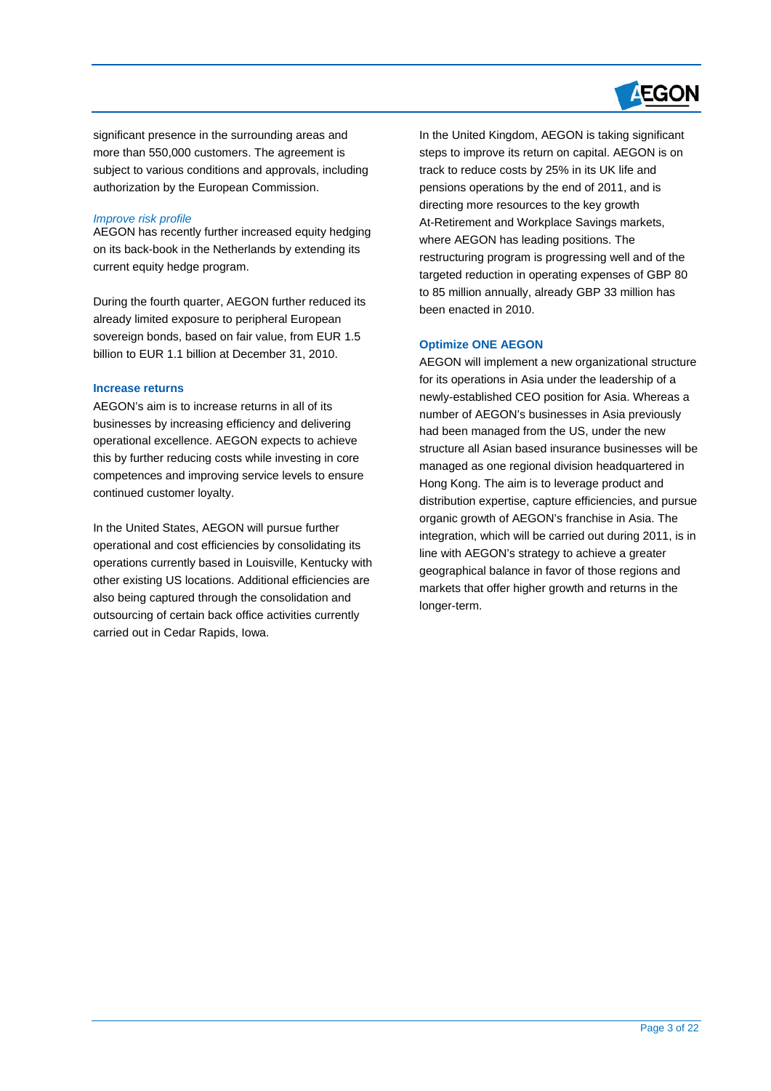

significant presence in the surrounding areas and more than 550,000 customers. The agreement is subject to various conditions and approvals, including authorization by the European Commission.

## *Improve risk profile*

 $\overline{a}$ 

AEGON has recently further increased equity hedging on its back-book in the Netherlands by extending its current equity hedge program.

During the fourth quarter, AEGON further reduced its already limited exposure to peripheral European sovereign bonds, based on fair value, from EUR 1.5 billion to EUR 1.1 billion at December 31, 2010.

#### **Increase returns**

continued customer loyalty. AEGON's aim is to increase returns in all of its businesses by increasing efficiency and delivering operational excellence. AEGON expects to achieve this by further reducing costs while investing in core competences and improving service levels to ensure

 operations currently based in Louisville, Kentucky with In the United States, AEGON will pursue further operational and cost efficiencies by consolidating its other existing US locations. Additional efficiencies are also being captured through the consolidation and outsourcing of certain back office activities currently carried out in Cedar Rapids, Iowa.

 directing more resources to the key growth In the United Kingdom, AEGON is taking significant steps to improve its return on capital. AEGON is on track to reduce costs by 25% in its UK life and pensions operations by the end of 2011, and is At-Retirement and Workplace Savings markets, where AEGON has leading positions. The restructuring program is progressing well and of the targeted reduction in operating expenses of GBP 80 to 85 million annually, already GBP 33 million has been enacted in 2010.

#### **Optimize ONE AEGON**

AEGON will implement a new organizational structure for its operations in Asia under the leadership of a newly-established CEO position for Asia. Whereas a number of AEGON's businesses in Asia previously had been managed from the US, under the new structure all Asian based insurance businesses will be managed as one regional division headquartered in Hong Kong. The aim is to leverage product and distribution expertise, capture efficiencies, and pursue organic growth of AEGON's franchise in Asia. The integration, which will be carried out during 2011, is in line with AEGON's strategy to achieve a greater geographical balance in favor of those regions and markets that offer higher growth and returns in the longer-term.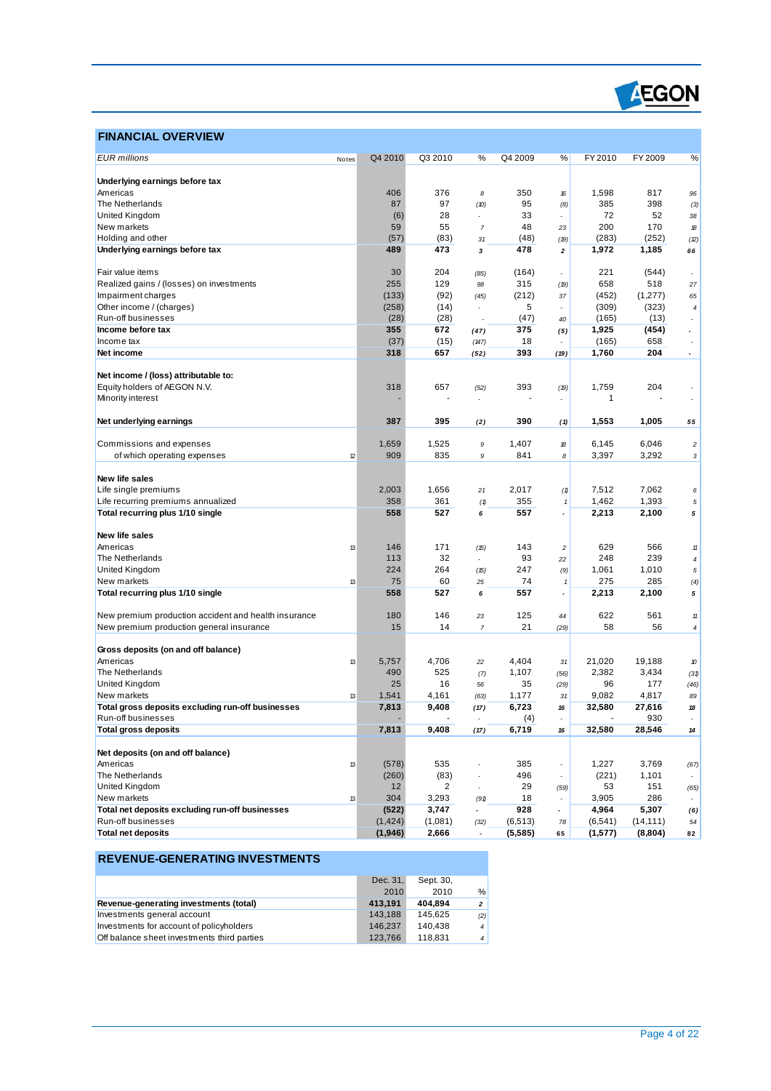

# **FINANCIAL OVERVIEW**

 $\overline{a}$ 

| <b>EUR</b> millions                                                     | Notes | Q4 2010  | Q3 2010 | %                        | Q4 2009      | %                        | FY 2010         | FY 2009       | %                              |
|-------------------------------------------------------------------------|-------|----------|---------|--------------------------|--------------|--------------------------|-----------------|---------------|--------------------------------|
|                                                                         |       |          |         |                          |              |                          |                 |               |                                |
| Underlying earnings before tax                                          |       |          |         |                          |              |                          |                 |               |                                |
| Americas                                                                |       | 406      | 376     | 8                        | 350          | 16                       | 1,598           | 817           | 96                             |
| The Netherlands                                                         |       | 87       | 97      | (D)                      | 95           | (8)                      | 385             | 398           | (3)                            |
| United Kingdom                                                          |       | (6)      | 28      | ٠                        | 33           | ٠                        | 72              | 52            | 38                             |
| New markets                                                             |       | 59       | 55      | $\overline{7}$           | 48           | 23                       | 200             | 170           | 18                             |
| Holding and other                                                       |       | (57)     | (83)    | 31                       | (48)         | (19)                     | (283)           | (252)         | (2)                            |
| Underlying earnings before tax                                          |       | 489      | 473     | 3                        | 478          | 2                        | 1,972           | 1,185         | 66                             |
| Fair value items                                                        |       | 30       | 204     | (85)                     | (164)        |                          | 221             | (544)         |                                |
| Realized gains / (losses) on investments                                |       | 255      | 129     | 98                       | 315          | (19)                     | 658             | 518           | 27                             |
| Impairment charges                                                      |       | (133)    | (92)    | (45)                     | (212)        | 37                       | (452)           | (1,277)       | 65                             |
| Other income / (charges)                                                |       | (258)    | (14)    | $\overline{a}$           | 5            |                          | (309)           | (323)         | $\pmb{4}$                      |
| Run-off businesses                                                      |       | (28)     | (28)    |                          | (47)         | 40                       | (165)           | (13)          | $\overline{\phantom{a}}$       |
| Income before tax                                                       |       | 355      | 672     | (47)                     | 375          | (5)                      | 1,925           | (454)         |                                |
| Income tax                                                              |       | (37)     | (15)    | (147)                    | 18           |                          | (165)           | 658           |                                |
| Net income                                                              |       | 318      | 657     | (52)                     | 393          | (19)                     | 1,760           | 204           |                                |
|                                                                         |       |          |         |                          |              |                          |                 |               |                                |
| Net income / (loss) attributable to:                                    |       |          |         |                          |              |                          |                 |               |                                |
| Equity holders of AEGON N.V.                                            |       | 318      | 657     | (52)                     | 393          | (19)                     | 1,759           | 204           |                                |
| Minority interest                                                       |       |          |         |                          |              |                          | $\mathbf{1}$    |               |                                |
|                                                                         |       |          |         |                          |              |                          |                 |               |                                |
| Net underlying earnings                                                 |       | 387      | 395     | (2)                      | 390          | (1)                      | 1,553           | 1,005         | 55                             |
| Commissions and expenses                                                |       | 1,659    | 1,525   | 9                        | 1,407        | 18                       | 6,145           | 6,046         | $\boldsymbol{2}$               |
| of which operating expenses                                             | 12    | 909      | 835     | 9                        | 841          | 8                        | 3,397           | 3,292         | 3                              |
|                                                                         |       |          |         |                          |              |                          |                 |               |                                |
| New life sales                                                          |       |          |         |                          |              |                          |                 |               |                                |
| Life single premiums                                                    |       | 2,003    | 1,656   | 21                       | 2,017        | (1)                      | 7,512           | 7,062         | 6                              |
| Life recurring premiums annualized                                      |       | 358      | 361     | (1)                      | 355          | $\pmb{\mathcal{I}}$      | 1,462           | 1,393         | $\sqrt{5}$                     |
| Total recurring plus 1/10 single                                        |       | 558      | 527     | 6                        | 557          | $\overline{\phantom{a}}$ | 2,213           | 2,100         | 5                              |
|                                                                         |       |          |         |                          |              |                          |                 |               |                                |
| New life sales                                                          |       |          |         |                          |              |                          |                 |               |                                |
| Americas                                                                | 13    | 146      | 171     | (15)                     | 143          | $\overline{\mathbf{c}}$  | 629             | 566           | $11$                           |
| The Netherlands                                                         |       | 113      | 32      | $\overline{a}$           | 93           | 22                       | 248             | 239           | $\overline{4}$                 |
| United Kingdom                                                          |       | 224      | 264     | (15)                     | 247          | (9)                      | 1,061           | 1,010         | 5                              |
| New markets                                                             | 13    | 75       | 60      | 25                       | 74           | 1                        | 275             | 285           | (4)                            |
| Total recurring plus 1/10 single                                        |       | 558      | 527     | 6                        | 557          |                          | 2,213           | 2,100         | 5                              |
|                                                                         |       |          |         |                          |              |                          |                 |               |                                |
| New premium production accident and health insurance                    |       | 180      | 146     | 23                       | 125          | 44                       | 622             | 561           | 11                             |
| New premium production general insurance                                |       | 15       | 14      | $\overline{7}$           | 21           | (29)                     | 58              | 56            | $\pmb{4}$                      |
|                                                                         |       |          |         |                          |              |                          |                 |               |                                |
| Gross deposits (on and off balance)<br>Americas                         |       | 5,757    | 4,706   |                          | 4,404        |                          | 21,020          | 19,188        |                                |
|                                                                         | 13    |          | 525     | 22                       |              | 31                       |                 |               | 10                             |
| The Netherlands                                                         |       | 490      | 16      | (7)                      | 1,107        | (56)                     | 2,382           | 3,434         | (31)                           |
| United Kingdom                                                          |       | 25       |         | 56                       | 35           | (29)                     | 96              | 177           | (46)                           |
| New markets                                                             | 13    | 1,541    | 4,161   | (63)                     | 1,177        | 31                       | 9,082<br>32,580 | 4,817         | 89                             |
| Total gross deposits excluding run-off businesses<br>Run-off businesses |       | 7,813    | 9,408   | (17)                     | 6,723<br>(4) | 16                       |                 | 27,616<br>930 | 18<br>$\overline{\phantom{a}}$ |
| <b>Total gross deposits</b>                                             |       | 7,813    | 9,408   | (17)                     | 6,719        | 16                       | 32,580          | 28,546        | 14                             |
|                                                                         |       |          |         |                          |              |                          |                 |               |                                |
| Net deposits (on and off balance)                                       |       |          |         |                          |              |                          |                 |               |                                |
| Americas                                                                | 13    | (578)    | 535     | ÷                        | 385          | $\overline{\phantom{a}}$ | 1,227           | 3,769         | (67)                           |
| The Netherlands                                                         |       | (260)    | (83)    | $\overline{\phantom{a}}$ | 496          | $\overline{\phantom{a}}$ | (221)           | 1,101         |                                |
| United Kingdom                                                          |       | 12       | 2       | $\overline{\phantom{a}}$ | 29           | (59)                     | 53              | 151           | (65)                           |
| New markets                                                             | 13    | 304      | 3,293   | (91)                     | 18           |                          | 3,905           | 286           |                                |
| Total net deposits excluding run-off businesses                         |       | (522)    | 3,747   |                          | 928          |                          | 4,964           | 5,307         | (6)                            |
| Run-off businesses                                                      |       | (1, 424) | (1,081) | (32)                     | (6, 513)     | 78                       | (6, 541)        | (14, 111)     | 54                             |
| <b>Total net deposits</b>                                               |       | (1,946)  | 2,666   |                          | (5, 585)     | 65                       | (1,577)         | (8,804)       | 82                             |
|                                                                         |       |          |         |                          |              |                          |                 |               |                                |

# **REVENUE-GENERATING INVESTMENTS**

|                                             | Dec. 31, | Sept. 30, |                |
|---------------------------------------------|----------|-----------|----------------|
|                                             | 2010     | 2010      | $\%$           |
| Revenue-generating investments (total)      | 413.191  | 404.894   | $\overline{2}$ |
| Investments general account                 | 143.188  | 145.625   | (2)            |
| Investments for account of policyholders    | 146.237  | 140.438   | $\overline{4}$ |
| Off balance sheet investments third parties | 123.766  | 118.831   | $\overline{4}$ |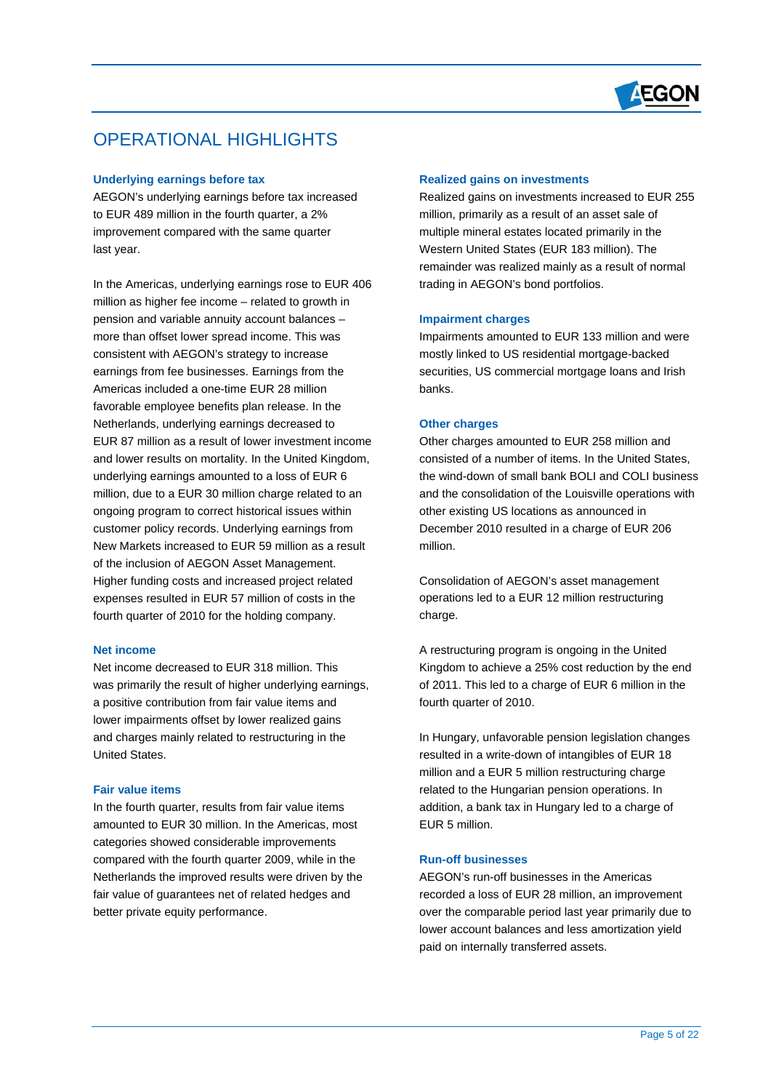

# OPERATIONAL HIGHLIGHTS

## **Underlying earnings before tax**

 $\overline{a}$ 

AEGON's underlying earnings before tax increased to EUR 489 million in the fourth quarter, a 2% improvement compared with the same quarter last year.

In the Americas, underlying earnings rose to EUR 406 million as higher fee income – related to growth in pension and variable annuity account balances – more than offset lower spread income. This was consistent with AEGON's strategy to increase earnings from fee businesses. Earnings from the Americas included a one-time EUR 28 million favorable employee benefits plan release. In the Netherlands, underlying earnings decreased to EUR 87 million as a result of lower investment income and lower results on mortality. In the United Kingdom, underlying earnings amounted to a loss of EUR 6 million, due to a EUR 30 million charge related to an ongoing program to correct historical issues within customer policy records. Underlying earnings from New Markets increased to EUR 59 million as a result of the inclusion of AEGON Asset Management. Higher funding costs and increased project related expenses resulted in EUR 57 million of costs in the fourth quarter of 2010 for the holding company.

#### **Net income**

Net income decreased to EUR 318 million. This was primarily the result of higher underlying earnings, a positive contribution from fair value items and lower impairments offset by lower realized gains and charges mainly related to restructuring in the United States.

## **Fair value items**

In the fourth quarter, results from fair value items amounted to EUR 30 million. In the Americas, most categories showed considerable improvements compared with the fourth quarter 2009, while in the Netherlands the improved results were driven by the fair value of guarantees net of related hedges and better private equity performance.

#### **Realized gains on investments**

Realized gains on investments increased to EUR 255 million, primarily as a result of an asset sale of multiple mineral estates located primarily in the Western United States (EUR 183 million). The remainder was realized mainly as a result of normal trading in AEGON's bond portfolios.

#### **Impairment charges**

Impairments amounted to EUR 133 million and were mostly linked to US residential mortgage-backed securities, US commercial mortgage loans and Irish banks.

#### **Other charges**

Other charges amounted to EUR 258 million and consisted of a number of items. In the United States, the wind-down of small bank BOLI and COLI business and the consolidation of the Louisville operations with other existing US locations as announced in December 2010 resulted in a charge of EUR 206 million.

Consolidation of AEGON's asset management operations led to a EUR 12 million restructuring charge.

A restructuring program is ongoing in the United Kingdom to achieve a 25% cost reduction by the end of 2011. This led to a charge of EUR 6 million in the fourth quarter of 2010.

In Hungary, unfavorable pension legislation changes resulted in a write-down of intangibles of EUR 18 million and a EUR 5 million restructuring charge related to the Hungarian pension operations. In addition, a bank tax in Hungary led to a charge of EUR 5 million.

# **Run-off businesses**

AEGON's run-off businesses in the Americas recorded a loss of EUR 28 million, an improvement over the comparable period last year primarily due to lower account balances and less amortization yield paid on internally transferred assets.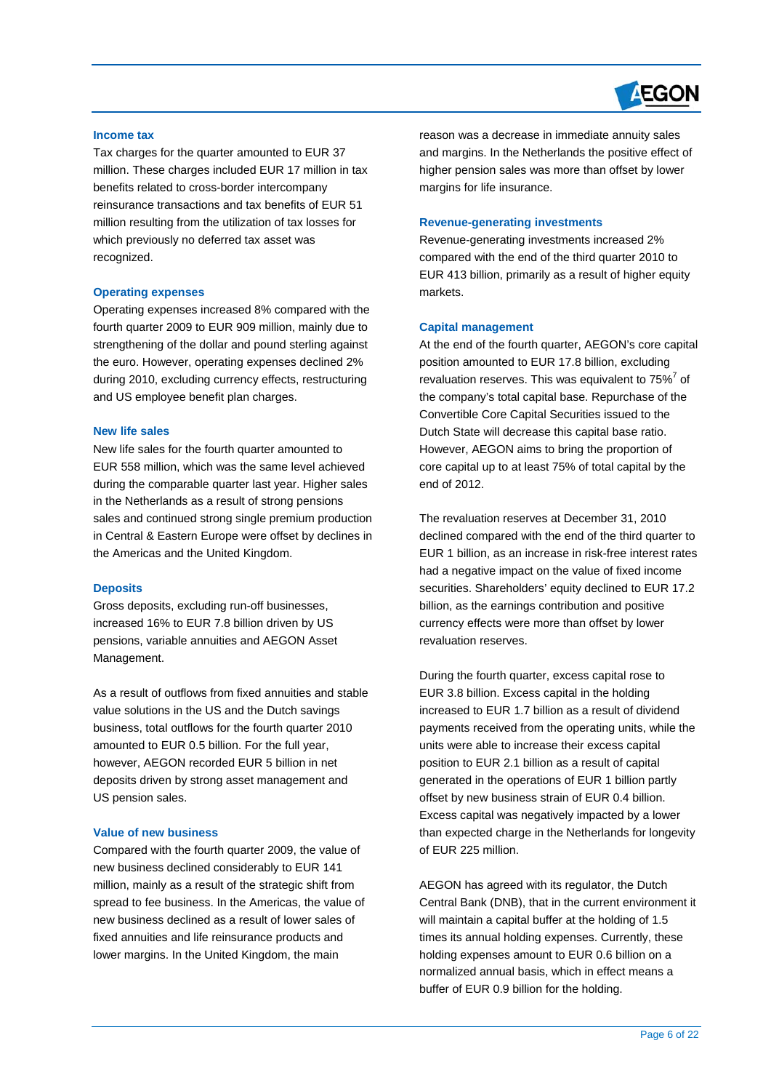

## **Income tax**

 $\overline{a}$ 

Tax charges for the quarter amounted to EUR 37 million. These charges included EUR 17 million in tax benefits related to cross-border intercompany reinsurance transactions and tax benefits of EUR 51 million resulting from the utilization of tax losses for which previously no deferred tax asset was recognized.

#### **Operating expenses**

Operating expenses increased 8% compared with the fourth quarter 2009 to EUR 909 million, mainly due to strengthening of the dollar and pound sterling against the euro. However, operating expenses declined 2% during 2010, excluding currency effects, restructuring and US employee benefit plan charges.

#### **New life sales**

New life sales for the fourth quarter amounted to EUR 558 million, which was the same level achieved during the comparable quarter last year. Higher sales in the Netherlands as a result of strong pensions sales and continued strong single premium production in Central & Eastern Europe were offset by declines in the Americas and the United Kingdom.

#### **Deposits**

Gross deposits, excluding run-off businesses, increased 16% to EUR 7.8 billion driven by US pensions, variable annuities and AEGON Asset Management.

As a result of outflows from fixed annuities and stable value solutions in the US and the Dutch savings business, total outflows for the fourth quarter 2010 amounted to EUR 0.5 billion. For the full year, however, AEGON recorded EUR 5 billion in net deposits driven by strong asset management and US pension sales.

#### **Value of new business**

Compared with the fourth quarter 2009, the value of new business declined considerably to EUR 141 million, mainly as a result of the strategic shift from spread to fee business. In the Americas, the value of new business declined as a result of lower sales of fixed annuities and life reinsurance products and lower margins. In the United Kingdom, the main

reason was a decrease in immediate annuity sales and margins. In the Netherlands the positive effect of higher pension sales was more than offset by lower margins for life insurance.

#### **Revenue-generating investments**

Revenue-generating investments increased 2% compared with the end of the third quarter 2010 to EUR 413 billion, primarily as a result of higher equity markets.

#### **Capital management**

At the end of the fourth quarter, AEGON's core capital position amounted to EUR 17.8 billion, excluding revaluation reserves. This was equivalent to  $75\%$ <sup>7</sup> of the company's total capital base. Repurchase of the Convertible Core Capital Securities issued to the Dutch State will decrease this capital base ratio. However, AEGON aims to bring the proportion of core capital up to at least 75% of total capital by the end of 2012.

The revaluation reserves at December 31, 2010 declined compared with the end of the third quarter to EUR 1 billion, as an increase in risk-free interest rates had a negative impact on the value of fixed income securities. Shareholders' equity declined to EUR 17.2 billion, as the earnings contribution and positive currency effects were more than offset by lower revaluation reserves.

During the fourth quarter, excess capital rose to EUR 3.8 billion. Excess capital in the holding increased to EUR 1.7 billion as a result of dividend payments received from the operating units, while the units were able to increase their excess capital position to EUR 2.1 billion as a result of capital generated in the operations of EUR 1 billion partly offset by new business strain of EUR 0.4 billion. Excess capital was negatively impacted by a lower than expected charge in the Netherlands for longevity of EUR 225 million.

AEGON has agreed with its regulator, the Dutch Central Bank (DNB), that in the current environment it will maintain a capital buffer at the holding of 1.5 times its annual holding expenses. Currently, these holding expenses amount to EUR 0.6 billion on a normalized annual basis, which in effect means a buffer of EUR 0.9 billion for the holding.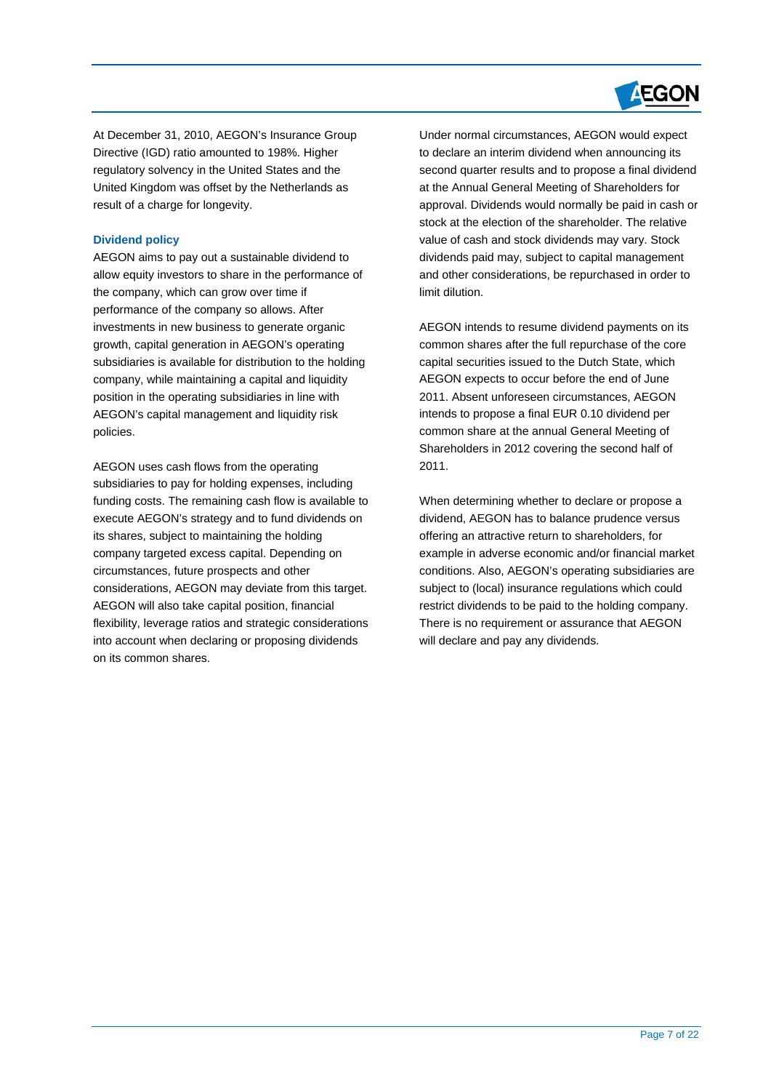

At December 31, 2010, AEGON's Insurance Group Directive (IGD) ratio amounted to 198%. Higher regulatory solvency in the United States and the United Kingdom was offset by the Netherlands as result of a charge for longevity.

# **Dividend policy**

 $\overline{a}$ 

 allow equity investors to share in the performance of AEGON aims to pay out a sustainable dividend to the company, which can grow over time if performance of the company so allows. After investments in new business to generate organic growth, capital generation in AEGON's operating subsidiaries is available for distribution to the holding company, while maintaining a capital and liquidity position in the operating subsidiaries in line with AEGON's capital management and liquidity risk policies.

AEGON uses cash flows from the operating subsidiaries to pay for holding expenses, including funding costs. The remaining cash flow is available to execute AEGON's strategy and to fund dividends on its shares, subject to maintaining the holding company targeted excess capital. Depending on circumstances, future prospects and other considerations, AEGON may deviate from this target. AEGON will also take capital position, financial flexibility, leverage ratios and strategic considerations into account when declaring or proposing dividends on its common shares.

Under normal circumstances, AEGON would expect to declare an interim dividend when announcing its second quarter results and to propose a final dividend at the Annual General Meeting of Shareholders for approval. Dividends would normally be paid in cash or stock at the election of the shareholder. The relative value of cash and stock dividends may vary. Stock dividends paid may, subject to capital management and other considerations, be repurchased in order to limit dilution.

AEGON intends to resume dividend payments on its common shares after the full repurchase of the core capital securities issued to the Dutch State, which AEGON expects to occur before the end of June 2011. Absent unforeseen circumstances, AEGON intends to propose a final EUR 0.10 dividend per common share at the annual General Meeting of Shareholders in 2012 covering the second half of 2011.

When determining whether to declare or propose a dividend, AEGON has to balance prudence versus offering an attractive return to shareholders, for example in adverse economic and/or financial market conditions. Also, AEGON's operating subsidiaries are subject to (local) insurance regulations which could restrict dividends to be paid to the holding company. There is no requirement or assurance that AEGON will declare and pay any dividends.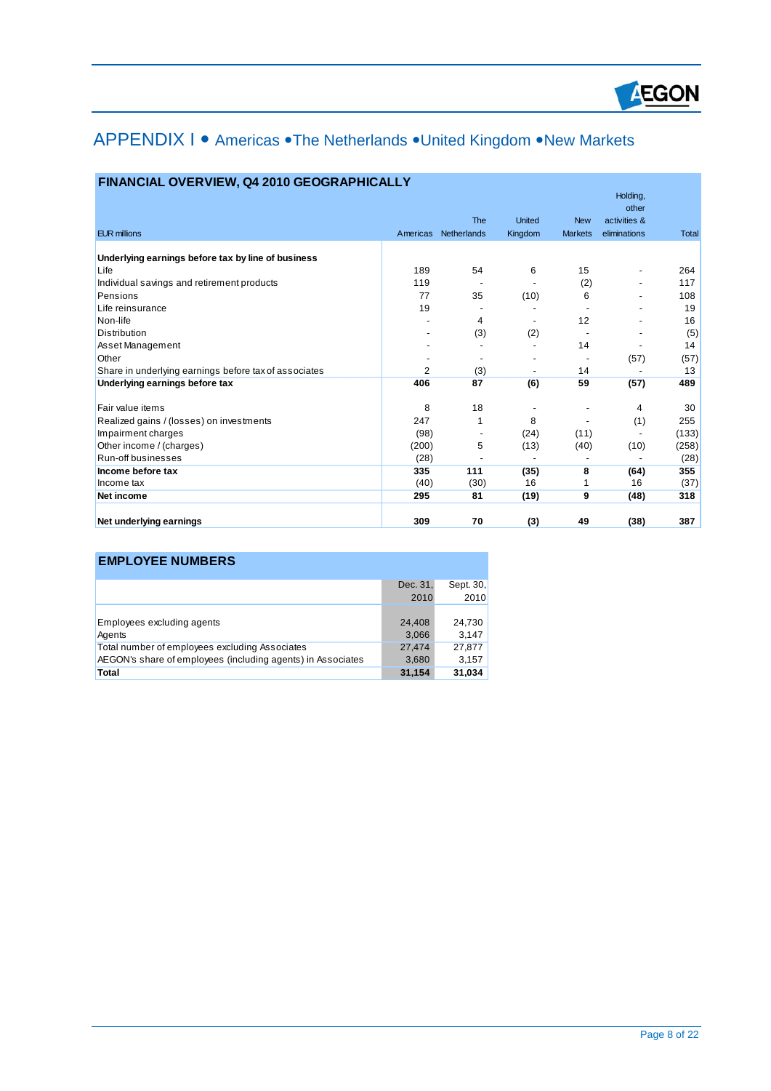

# APPENDIX I • Americas • The Netherlands • United Kingdom • New Markets

| <b>FINANCIAL OVERVIEW, Q4 2010 GEOGRAPHICALLY</b> |  |  |
|---------------------------------------------------|--|--|
|                                                   |  |  |

|                                                       |                |                          |                          |                | Holding,<br>other        |              |
|-------------------------------------------------------|----------------|--------------------------|--------------------------|----------------|--------------------------|--------------|
|                                                       |                | The                      | <b>United</b>            | <b>New</b>     | activities &             |              |
| <b>EUR millions</b>                                   | Americas       | Netherlands              | Kingdom                  | <b>Markets</b> | eliminations             | <b>Total</b> |
| Underlying earnings before tax by line of business    |                |                          |                          |                |                          |              |
| Life                                                  | 189            | 54                       | 6                        | 15             | $\overline{\phantom{0}}$ | 264          |
| Individual savings and retirement products            | 119            | $\overline{\phantom{a}}$ | $\overline{\phantom{a}}$ | (2)            | $\overline{\phantom{0}}$ | 117          |
| Pensions                                              | 77             | 35                       | (10)                     | 6              |                          | 108          |
| Life reinsurance                                      | 19             |                          |                          |                |                          | 19           |
| Non-life                                              |                | 4                        | $\overline{\phantom{a}}$ | 12             |                          | 16           |
| Distribution                                          |                | (3)                      | (2)                      |                |                          | (5)          |
| Asset Management                                      |                |                          |                          | 14             |                          | 14           |
| Other                                                 |                |                          |                          |                | (57)                     | (57)         |
| Share in underlying earnings before tax of associates | $\overline{2}$ | (3)                      | $\overline{\phantom{a}}$ | 14             |                          | 13           |
| Underlying earnings before tax                        | 406            | 87                       | (6)                      | 59             | (57)                     | 489          |
| Fair value items                                      | 8              | 18                       |                          |                | 4                        | 30           |
| Realized gains / (losses) on investments              | 247            | 1                        | 8                        |                | (1)                      | 255          |
| Impairment charges                                    | (98)           |                          | (24)                     | (11)           |                          | (133)        |
| Other income / (charges)                              | (200)          | 5                        | (13)                     | (40)           | (10)                     | (258)        |
| Run-off businesses                                    | (28)           |                          |                          |                |                          | (28)         |
| Income before tax                                     | 335            | 111                      | (35)                     | 8              | (64)                     | 355          |
| Income tax                                            | (40)           | (30)                     | 16                       | 1              | 16                       | (37)         |
| Net income                                            | 295            | 81                       | (19)                     | 9              | (48)                     | 318          |
| Net underlying earnings                               | 309            | 70                       | (3)                      | 49             | (38)                     | 387          |
|                                                       |                |                          |                          |                |                          |              |

# **EMPLOYEE NUMBERS**

 $\overline{a}$ 

|                                                             | Dec. 31, | Sept. 30, |
|-------------------------------------------------------------|----------|-----------|
|                                                             | 2010     | 2010      |
|                                                             |          |           |
| Employees excluding agents                                  | 24,408   | 24,730    |
| Agents                                                      | 3,066    | 3,147     |
| Total number of employees excluding Associates              | 27.474   | 27.877    |
| AEGON's share of employees (including agents) in Associates | 3,680    | 3,157     |
| Total                                                       | 31,154   | 31,034    |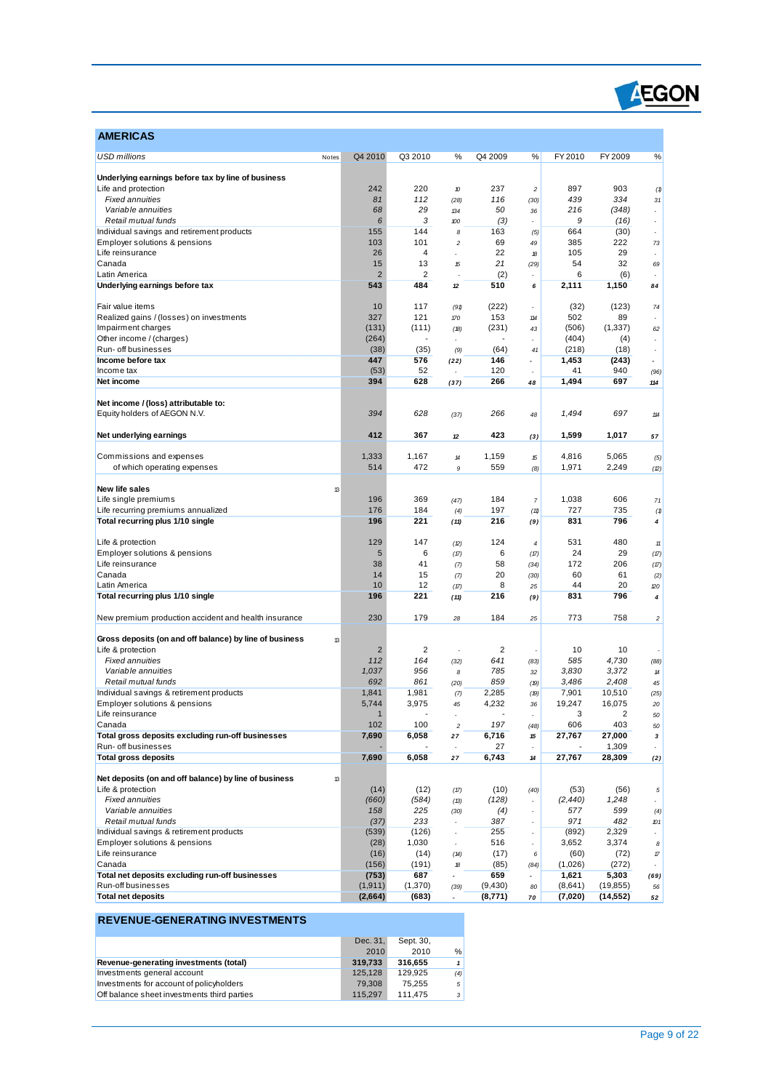

| <b>AMERICAS</b>                                                                    |                |                |                       |                |                                  |                  |               |                               |
|------------------------------------------------------------------------------------|----------------|----------------|-----------------------|----------------|----------------------------------|------------------|---------------|-------------------------------|
| <b>USD millions</b><br>Notes                                                       | Q4 2010        | Q3 2010        | %                     | Q4 2009        | %                                | FY 2010          | FY 2009       | $\%$                          |
| Underlying earnings before tax by line of business                                 |                |                |                       |                |                                  |                  |               |                               |
| Life and protection                                                                | 242            | 220            | 10                    | 237            | $\overline{c}$                   | 897              | 903           | (1)                           |
| <b>Fixed annuities</b>                                                             | 81             | 112            | (28)                  | 116            | (30)                             | 439              | 334           | 31                            |
| Variable annuities                                                                 | 68             | 29             | 134                   | 50             | 36                               | 216              | (348)         | ÷.                            |
| Retail mutual funds                                                                | 6              | 3              | 100                   | (3)            | $\overline{a}$                   | 9                | (16)          | $\overline{\phantom{a}}$      |
| Individual savings and retirement products                                         | 155            | 144            | 8                     | 163            | (5)                              | 664              | (30)          | $\overline{\phantom{a}}$      |
| Employer solutions & pensions                                                      | 103            | 101            | $\overline{c}$        | 69             | 49                               | 385              | 222           | 73                            |
| Life reinsurance                                                                   | 26             | $\overline{4}$ |                       | 22             | 18                               | 105              | 29            | ÷,                            |
| Canada                                                                             | 15             | 13             | 15                    | 21             | (29)                             | 54               | 32            | 69                            |
| Latin America                                                                      | $\overline{2}$ | $\overline{2}$ |                       | (2)            |                                  | 6                | (6)           | $\overline{\phantom{a}}$      |
| Underlying earnings before tax                                                     | 543            | 484            | 12                    | 510            | 6                                | 2,111            | 1,150         | 84                            |
| Fair value items                                                                   | 10             | 117            | (91)                  | (222)          | ä,                               | (32)             | (123)         | 74                            |
| Realized gains / (losses) on investments                                           | 327            | 121            | 170                   | 153            | 114                              | 502              | 89            |                               |
| Impairment charges                                                                 | (131)          | (111)          | (18)                  | (231)          | 43                               | (506)            | (1, 337)      | 62                            |
| Other income / (charges)                                                           | (264)          | $\blacksquare$ |                       |                |                                  | (404)            | (4)           | ÷,                            |
| Run- off businesses                                                                | (38)           | (35)           | (9)                   | (64)           | 41                               | (218)            | (18)          | $\tilde{\phantom{a}}$         |
| Income before tax                                                                  | 447            | 576            | (22)                  | 146            | $\overline{a}$                   | 1,453            | (243)         | $\overline{\phantom{a}}$      |
| Income tax                                                                         | (53)           | 52             |                       | 120            |                                  | 41               | 940           | (96)                          |
| Net income                                                                         | 394            | 628            | (37)                  | 266            | 48                               | 1,494            | 697           | 114                           |
| Net income / (loss) attributable to:                                               |                |                |                       |                |                                  |                  |               |                               |
| Equity holders of AEGON N.V.                                                       | 394            | 628            | (37)                  | 266            | 48                               | 1,494            | 697           | 114                           |
|                                                                                    |                |                |                       |                |                                  |                  |               |                               |
| Net underlying earnings                                                            | 412            | 367            | 12                    | 423            | (3)                              | 1,599            | 1,017         | 57                            |
| Commissions and expenses                                                           | 1,333          | 1,167          | $14$                  | 1,159          | 15                               | 4,816            | 5,065         | (5)                           |
| of which operating expenses                                                        | 514            | 472            | 9                     | 559            | (8)                              | 1,971            | 2,249         | (2)                           |
|                                                                                    |                |                |                       |                |                                  |                  |               |                               |
| New life sales<br>13                                                               |                |                |                       |                |                                  |                  |               |                               |
| Life single premiums                                                               | 196            | 369            | (47)                  | 184            | $\overline{7}$                   | 1,038            | 606           | 71                            |
| Life recurring premiums annualized                                                 | 176            | 184            | (4)                   | 197            | (11)                             | 727              | 735           | (1)                           |
| Total recurring plus 1/10 single                                                   | 196            | 221            | (11)                  | 216            | (9)                              | 831              | 796           | 4                             |
|                                                                                    |                |                |                       |                |                                  |                  |               |                               |
| Life & protection                                                                  | 129            | 147            | (2)                   | 124            | $\overline{\mathcal{L}}$         | 531              | 480           | $11$                          |
| Employer solutions & pensions                                                      | 5              | 6              | (17)                  | 6              | (17)                             | 24               | 29            | (17)                          |
| Life reinsurance                                                                   | 38             | 41             | (7)                   | 58             | (34)                             | 172              | 206           | (17)                          |
| Canada                                                                             | 14             | 15             | (7)                   | 20             | (30)                             | 60               | 61            | (2)                           |
| Latin America                                                                      | 10             | 12             | (17)                  | 8              | 25                               | 44               | 20            | 120                           |
| Total recurring plus 1/10 single                                                   | 196            | 221            | (11)                  | 216            | (9)                              | 831              | 796           | 4                             |
| New premium production accident and health insurance                               | 230            | 179            | 28                    | 184            | 25                               | 773              | 758           | $\overline{c}$                |
|                                                                                    |                |                |                       |                |                                  |                  |               |                               |
| Gross deposits (on and off balance) by line of business<br>13<br>Life & protection | $\overline{2}$ | $\overline{2}$ |                       | $\overline{2}$ |                                  | 10               | 10            |                               |
| <b>Fixed annuities</b>                                                             | 112            | 164            | (32)                  | 641            | (83)                             | 585              | 4,730         | (88)                          |
| Variable annuities                                                                 | 1,037          | 956            | 8                     | 785            | 32                               | 3,830            | 3,372         | 14                            |
| Retail mutual funds                                                                | 692            | 861            | (20)                  | 859            | (19)                             | 3,486            | 2,408         | 45                            |
| Individual savings & retirement products                                           | 1,841          | 1,981          | (7)                   | 2,285          | (19)                             | 7,901            | 10,510        | (25)                          |
| Employer solutions & pensions                                                      | 5,744          | 3,975          | 45                    | 4,232          | 36                               | 19.247           | 16.075        | 20                            |
| Life reinsurance                                                                   | $\mathbf{1}$   |                |                       |                | $\overline{\phantom{a}}$         | 3                | 2             | 50                            |
| Canada                                                                             | 102            | 100            | $\sqrt{2}$            | 197            | (48)                             | 606              | 403           | 50                            |
| Total gross deposits excluding run-off businesses                                  | 7,690          | 6,058          | 27                    | 6,716          | 15                               | 27,767           | 27,000        | 3                             |
| Run- off businesses                                                                |                |                |                       | 27             |                                  |                  | 1,309         |                               |
| <b>Total gross deposits</b>                                                        | 7,690          | 6,058          | 27                    | 6,743          | 14                               | 27,767           | 28,309        | (2)                           |
|                                                                                    |                |                |                       |                |                                  |                  |               |                               |
| Net deposits (on and off balance) by line of business<br>13<br>Life & protection   | (14)           | (12)           |                       | (10)           |                                  |                  |               |                               |
| <b>Fixed annuities</b>                                                             | (660)          | (584)          | (17)<br>(13)          | (128)          | (40)<br>$\overline{\phantom{a}}$ | (53)<br>(2, 440) | (56)<br>1,248 | 5<br>$\overline{\phantom{a}}$ |
| Variable annuities                                                                 | 158            | 225            | (30)                  | (4)            | ٠                                | 577              | 599           | (4)                           |
| Retail mutual funds                                                                | (37)           | 233            |                       | 387            |                                  | 971              | 482           | 101                           |
| Individual savings & retirement products                                           | (539)          | (126)          |                       | 255            | ä,                               | (892)            | 2,329         | ä,                            |
| Employer solutions & pensions                                                      | (28)           | 1,030          | $\tilde{\phantom{a}}$ | 516            | ÷.                               | 3,652            | 3,374         | 8                             |
| Life reinsurance                                                                   | (16)           | (14)           | (14)                  | (17)           | 6                                | (60)             | (72)          | 17                            |
| Canada                                                                             | (156)          | (191)          | 18                    | (85)           | (84)                             | (1,026)          | (272)         |                               |
| Total net deposits excluding run-off businesses                                    | (753)          | 687            |                       | 659            | $\overline{a}$                   | 1,621            | 5,303         | (69)                          |
| Run-off businesses                                                                 | (1, 911)       | (1,370)        | (39)                  | (9,430)        | 80                               | (8,641)          | (19, 855)     | 56                            |
| <b>Total net deposits</b>                                                          | (2,664)        | (683)          |                       | (8,771)        | 70                               | (7,020)          | (14,552)      | 52                            |

# **REVENUE-GENERATING INVESTMENTS**

 $\overline{a}$ 

|                                             | Dec. 31. | Sept. 30, |                |
|---------------------------------------------|----------|-----------|----------------|
|                                             | 2010     | 2010      | %              |
| Revenue-generating investments (total)      | 319.733  | 316.655   | 1 <sup>1</sup> |
| Investments general account                 | 125.128  | 129.925   | (4)            |
| Investments for account of policyholders    | 79.308   | 75.255    | 5 <sup>1</sup> |
| Off balance sheet investments third parties | 115.297  | 111.475   | 3 <sup>1</sup> |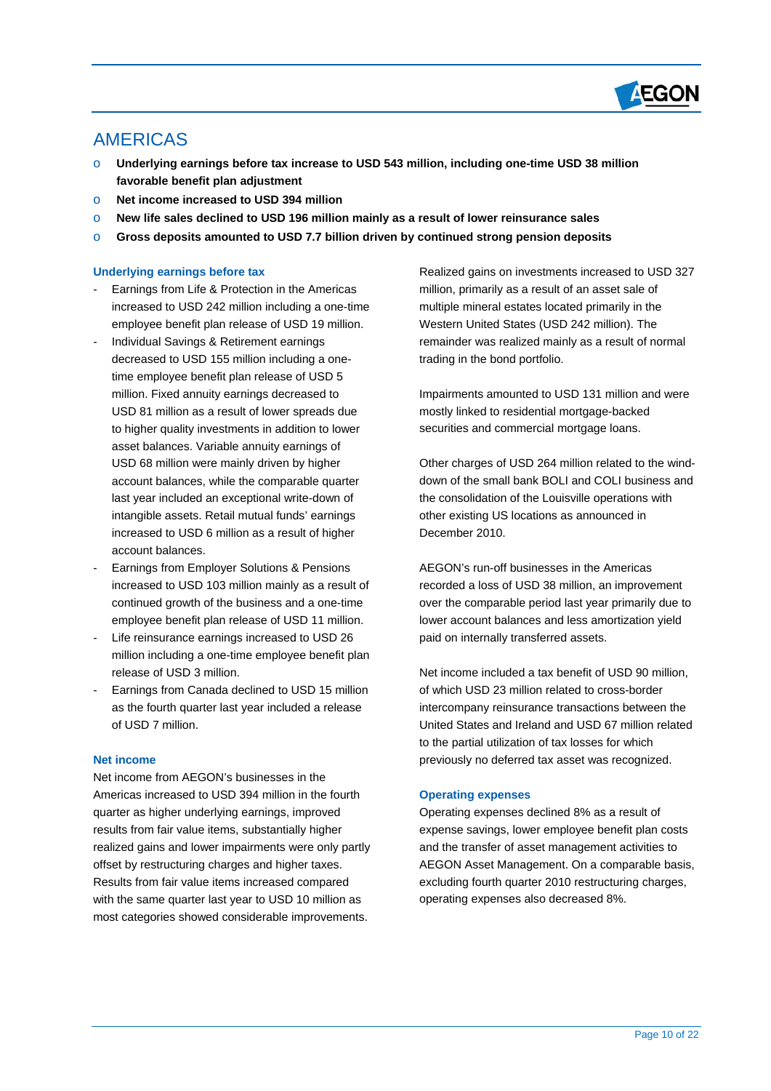

# AMERICAS

 $\overline{a}$ 

- Underlying earnings before tax increase to USD 543 million, including one-time USD 38 million **favorable benefit plan adjustment**
- o **Net income increased to USD 394 million**
- o **New life sales declined to USD 196 million mainly as a result of lower reinsurance sales**
- o **Gross deposits amounted to USD 7.7 billion driven by continued strong pension deposits**

# **Underlying earnings before tax**

- Earnings from Life & Protection in the Americas increased to USD 242 million including a one-time employee benefit plan release of USD 19 million.
- Individual Savings & Retirement earnings decreased to USD 155 million including a onetime employee benefit plan release of USD 5 million. Fixed annuity earnings decreased to USD 81 million as a result of lower spreads due to higher quality investments in addition to lower asset balances. Variable annuity earnings of USD 68 million were mainly driven by higher account balances, while the comparable quarter last year included an exceptional write-down of intangible assets. Retail mutual funds' earnings increased to USD 6 million as a result of higher account balances.
- Earnings from Employer Solutions & Pensions increased to USD 103 million mainly as a result of continued growth of the business and a one-time employee benefit plan release of USD 11 million.
- Life reinsurance earnings increased to USD 26 million including a one-time employee benefit plan release of USD 3 million.
- Earnings from Canada declined to USD 15 million as the fourth quarter last year included a release of USD 7 million.

# **Net income**

Net income from AEGON's businesses in the Americas increased to USD 394 million in the fourth quarter as higher underlying earnings, improved results from fair value items, substantially higher realized gains and lower impairments were only partly offset by restructuring charges and higher taxes. Results from fair value items increased compared with the same quarter last year to USD 10 million as most categories showed considerable improvements.

Realized gains on investments increased to USD 327 million, primarily as a result of an asset sale of multiple mineral estates located primarily in the Western United States (USD 242 million). The remainder was realized mainly as a result of normal trading in the bond portfolio.

Impairments amounted to USD 131 million and were mostly linked to residential mortgage-backed securities and commercial mortgage loans.

Other charges of USD 264 million related to the winddown of the small bank BOLI and COLI business and the consolidation of the Louisville operations with other existing US locations as announced in December 2010.

AEGON's run-off businesses in the Americas recorded a loss of USD 38 million, an improvement over the comparable period last year primarily due to lower account balances and less amortization yield paid on internally transferred assets.

Net income included a tax benefit of USD 90 million, of which USD 23 million related to cross-border intercompany reinsurance transactions between the United States and Ireland and USD 67 million related to the partial utilization of tax losses for which previously no deferred tax asset was recognized.

# **Operating expenses**

Operating expenses declined 8% as a result of expense savings, lower employee benefit plan costs and the transfer of asset management activities to AEGON Asset Management. On a comparable basis, excluding fourth quarter 2010 restructuring charges, operating expenses also decreased 8%.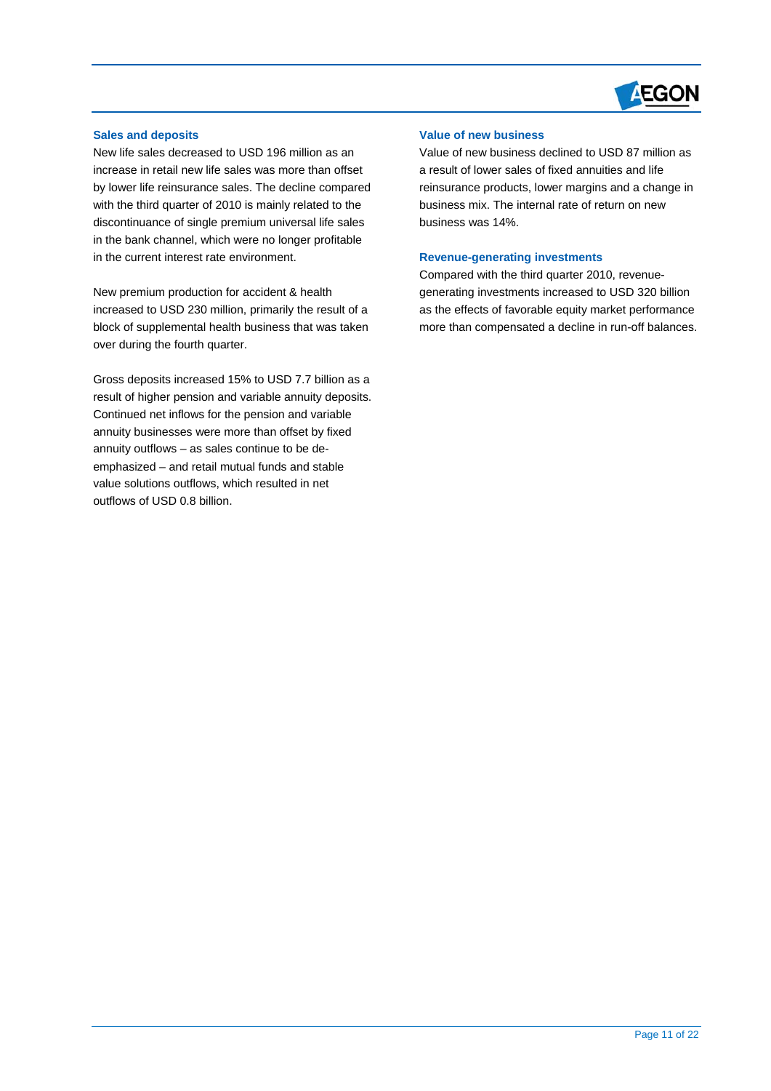

# **Sales and deposits**

 $\overline{a}$ 

New life sales decreased to USD 196 million as an increase in retail new life sales was more than offset by lower life reinsurance sales. The decline compared with the third quarter of 2010 is mainly related to the discontinuance of single premium universal life sales in the bank channel, which were no longer profitable in the current interest rate environment.

New premium production for accident & health increased to USD 230 million, primarily the result of a block of supplemental health business that was taken over during the fourth quarter.

Gross deposits increased 15% to USD 7.7 billion as a result of higher pension and variable annuity deposits. Continued net inflows for the pension and variable annuity businesses were more than offset by fixed annuity outflows – as sales continue to be deemphasized – and retail mutual funds and stable value solutions outflows, which resulted in net outflows of USD 0.8 billion.

# **Value of new business**

Value of new business declined to USD 87 million as a result of lower sales of fixed annuities and life reinsurance products, lower margins and a change in business mix. The internal rate of return on new business was 14%.

#### **Revenue-generating investments**

Compared with the third quarter 2010, revenuegenerating investments increased to USD 320 billion as the effects of favorable equity market performance more than compensated a decline in run-off balances.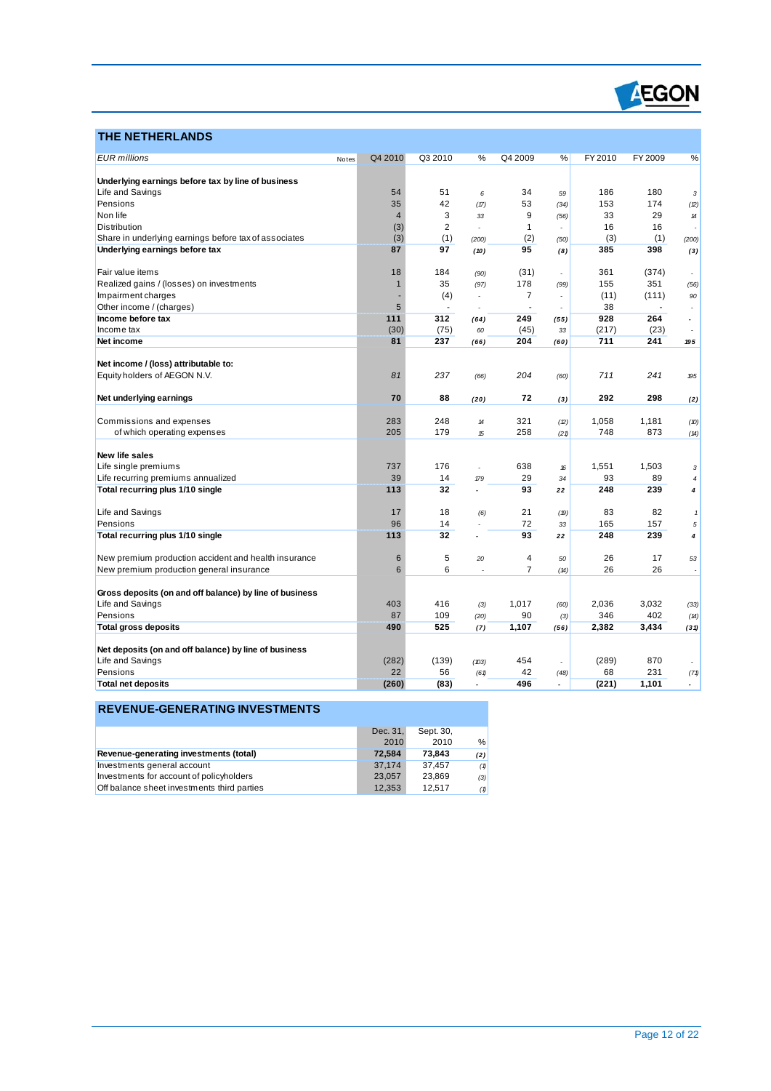

# **THE NETHERLANDS**

 $\overline{a}$ 

| <b>EUR</b> millions                                                       | Q4 2010<br>Notes | Q3 2010        | %                          | Q4 2009        | %    | FY 2010 | FY 2009 | ℅                        |
|---------------------------------------------------------------------------|------------------|----------------|----------------------------|----------------|------|---------|---------|--------------------------|
|                                                                           |                  |                |                            |                |      |         |         |                          |
| Underlying earnings before tax by line of business                        |                  |                |                            |                |      |         |         |                          |
| Life and Savings                                                          | 54               | 51             | 6                          | 34             | 59   | 186     | 180     | 3                        |
| Pensions                                                                  | 35               | 42             | (17)                       | 53             | (34) | 153     | 174     | (2)                      |
| Non life                                                                  | $\overline{4}$   | 3              | 33                         | 9              | (56) | 33      | 29      | $14$                     |
| <b>Distribution</b>                                                       | (3)              | $\overline{2}$ |                            | 1              |      | 16      | 16      | ٠                        |
| Share in underlying earnings before tax of associates                     | (3)              | (1)            | (200)                      | (2)            | (50) | (3)     | (1)     | (200)                    |
| Underlying earnings before tax                                            | 87               | 97             | (10)                       | 95             | (8)  | 385     | 398     | (3)                      |
| Fair value items                                                          | 18               | 184            | (90)                       | (31)           |      | 361     | (374)   | $\overline{a}$           |
| Realized gains / (losses) on investments                                  | $\mathbf{1}$     | 35             | (97)                       | 178            | (99) | 155     | 351     | (56)                     |
| Impairment charges                                                        |                  | (4)            |                            | $\overline{7}$ |      | (11)    | (111)   | 90                       |
| Other income / (charges)                                                  | 5                | $\blacksquare$ |                            | Ĭ.             |      | 38      |         |                          |
| Income before tax                                                         | 111              | 312            | (64)                       | 249            | (55) | 928     | 264     |                          |
| Income tax                                                                | (30)             | (75)           | 60                         | (45)           | 33   | (217)   | (23)    | $\overline{\phantom{a}}$ |
| Net income                                                                | 81               | 237            | (66)                       | 204            | (60) | 711     | 241     | 195                      |
|                                                                           |                  |                |                            |                |      |         |         |                          |
| Net income / (loss) attributable to:                                      |                  |                |                            |                |      |         |         |                          |
| Equity holders of AEGON N.V.                                              | 81               | 237            | (66)                       | 204            | (60) | 711     | 241     | 195                      |
| Net underlying earnings                                                   | 70               | 88             | (20)                       | 72             | (3)  | 292     | 298     | (2)                      |
|                                                                           |                  |                |                            |                |      |         |         |                          |
| Commissions and expenses                                                  | 283              | 248            | $\boldsymbol{\mathcal{H}}$ | 321            | (2)  | 1,058   | 1,181   | (10)                     |
| of which operating expenses                                               | 205              | 179            | 15                         | 258            | (21) | 748     | 873     | (14)                     |
| New life sales                                                            |                  |                |                            |                |      |         |         |                          |
| Life single premiums                                                      | 737              | 176            |                            | 638            | 16   | 1,551   | 1,503   | 3                        |
| Life recurring premiums annualized                                        | 39               | 14             | 179                        | 29             | 34   | 93      | 89      | $\overline{4}$           |
| Total recurring plus 1/10 single                                          | 113              | 32             | $\overline{a}$             | 93             | 22   | 248     | 239     | 4                        |
|                                                                           |                  |                |                            |                |      |         |         |                          |
| Life and Savings                                                          | 17               | 18             | (6)                        | 21             | (19) | 83      | 82      | $\mathbf{1}$             |
| Pensions                                                                  | 96               | 14             |                            | 72             | 33   | 165     | 157     | 5                        |
| Total recurring plus 1/10 single                                          | 113              | 32             |                            | 93             | 22   | 248     | 239     | 4                        |
| New premium production accident and health insurance                      | $6\phantom{1}6$  | 5              | 20                         | 4              | 50   | 26      | 17      | 53                       |
| New premium production general insurance                                  | 6                | 6              |                            | $\overline{7}$ | (14) | 26      | 26      | H.                       |
|                                                                           |                  |                |                            |                |      |         |         |                          |
| Gross deposits (on and off balance) by line of business                   |                  |                |                            |                |      |         |         |                          |
| Life and Savings                                                          | 403              | 416            | (3)                        | 1,017          | (60) | 2,036   | 3,032   | (33)                     |
| Pensions                                                                  | 87               | 109            | (20)                       | 90             | (3)  | 346     | 402     | (14)                     |
| <b>Total gross deposits</b>                                               | 490              | 525            | (7)                        | 1,107          | (56) | 2,382   | 3,434   | (31)                     |
|                                                                           |                  |                |                            |                |      |         |         |                          |
| Net deposits (on and off balance) by line of business<br>Life and Savings | (282)            | (139)          |                            | 454            |      | (289)   | 870     |                          |
| Pensions                                                                  | 22               | 56             | (103)<br>(61)              | 42             | (48) | 68      | 231     |                          |
| <b>Total net deposits</b>                                                 | (260)            | (83)           |                            | 496            |      | (221)   | 1,101   | (71)                     |
|                                                                           |                  |                |                            |                |      |         |         |                          |

# **REVENUE-GENERATING INVESTMENTS**

|                                             | Dec. 31. | Sept. 30, |     |
|---------------------------------------------|----------|-----------|-----|
|                                             | 2010     | 2010      | %   |
| Revenue-generating investments (total)      | 72.584   | 73.843    | (2) |
| Investments general account                 | 37.174   | 37.457    | (1) |
| Investments for account of policyholders    | 23.057   | 23.869    | (3) |
| Off balance sheet investments third parties | 12.353   | 12.517    | (1) |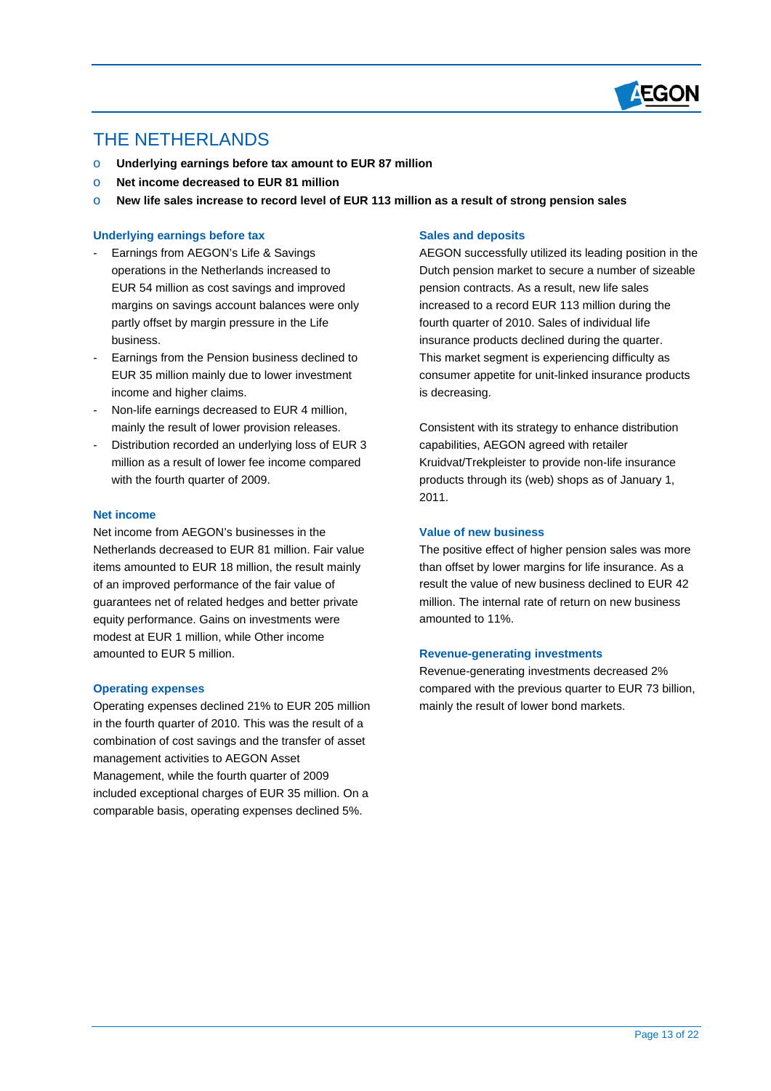

# THE NETHERLANDS

 $\overline{a}$ 

- o **Underlying earnings before tax amount to EUR 87 million**
- o **Net income decreased to EUR 81 million**
- o **New life sales increase to record level of EUR 113 million as a result of strong pension sales**

#### **Underlying earnings before tax**

- partly offset by margin pressure in the Life Earnings from AEGON's Life & Savings operations in the Netherlands increased to EUR 54 million as cost savings and improved margins on savings account balances were only business.
- Earnings from the Pension business declined to EUR 35 million mainly due to lower investment income and higher claims.
- Non-life earnings decreased to EUR 4 million. mainly the result of lower provision releases.
- Distribution recorded an underlying loss of EUR 3 million as a result of lower fee income compared with the fourth quarter of 2009.

#### **Net income**

Net income from AEGON's businesses in the Netherlands decreased to EUR 81 million. Fair value items amounted to EUR 18 million, the result mainly of an improved performance of the fair value of guarantees net of related hedges and better private equity performance. Gains on investments were modest at EUR 1 million, while Other income amounted to EUR 5 million.

#### **Operating expenses**

Operating expenses declined 21% to EUR 205 million in the fourth quarter of 2010. This was the result of a combination of cost savings and the transfer of asset management activities to AEGON Asset Management, while the fourth quarter of 2009 included exceptional charges of EUR 35 million. On a comparable basis, operating expenses declined 5%.

#### **Sales and deposits**

 pension contracts. As a result, new life sales AEGON successfully utilized its leading position in the Dutch pension market to secure a number of sizeable increased to a record EUR 113 million during the fourth quarter of 2010. Sales of individual life insurance products declined during the quarter. This market segment is experiencing difficulty as consumer appetite for unit-linked insurance products is decreasing.

Consistent with its strategy to enhance distribution capabilities, AEGON agreed with retailer Kruidvat/Trekpleister to provide non-life insurance products through its (web) shops as of January 1, 2011.

## **Value of new business**

The positive effect of higher pension sales was more than offset by lower margins for life insurance. As a result the value of new business declined to EUR 42 million. The internal rate of return on new business amounted to 11%.

#### **Revenue-generating investments**

Revenue-generating investments decreased 2% compared with the previous quarter to EUR 73 billion, mainly the result of lower bond markets.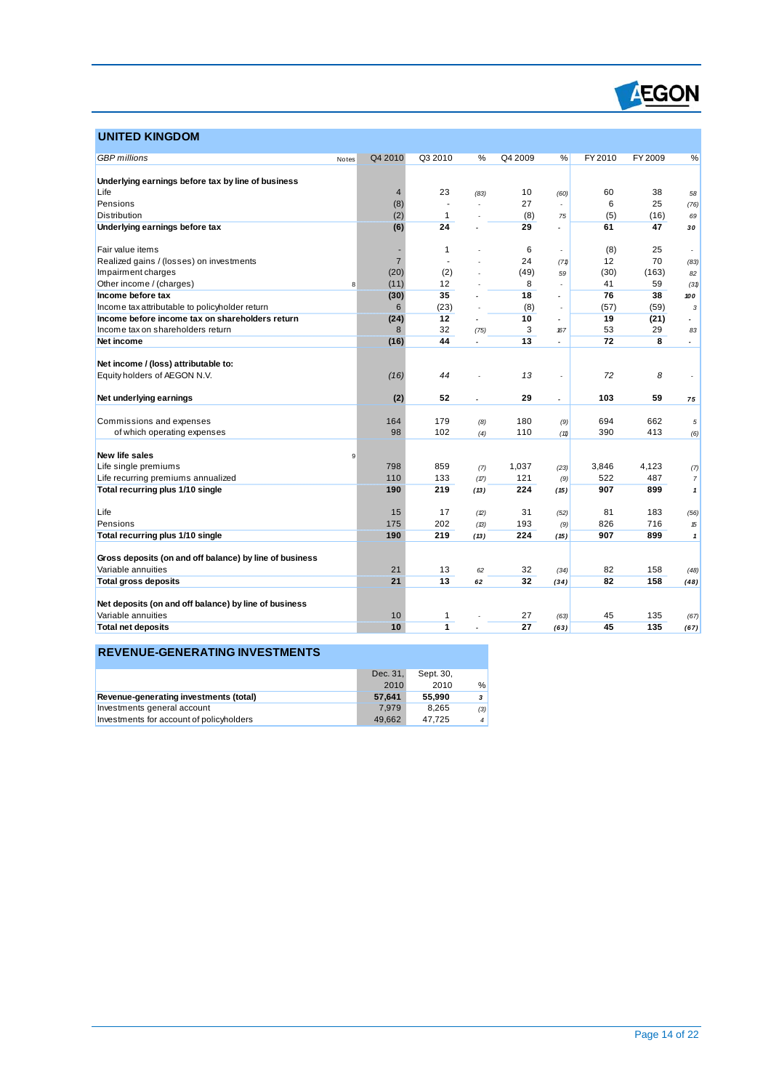

# **UNITED KINGDOM**

 $\overline{a}$ 

| <b>GBP</b> millions                                     | Notes | Q4 2010        | Q3 2010             | %                        | Q4 2009  | %                        | FY 2010  | FY 2009    | %                        |
|---------------------------------------------------------|-------|----------------|---------------------|--------------------------|----------|--------------------------|----------|------------|--------------------------|
|                                                         |       |                |                     |                          |          |                          |          |            |                          |
| Underlying earnings before tax by line of business      |       |                |                     |                          |          |                          |          |            |                          |
| Life                                                    |       | $\overline{4}$ | 23                  | (83)                     | 10       | (60)                     | 60       | 38         | 58                       |
| Pensions                                                |       | (8)            |                     |                          | 27       |                          | 6        | 25         | (76)                     |
| <b>Distribution</b>                                     |       | (2)            | $\mathbf{1}$        |                          | (8)      | 75                       | (5)      | (16)       | 69                       |
| Underlying earnings before tax                          |       | (6)            | 24                  |                          | 29       |                          | 61       | 47         | 30                       |
| Fair value items                                        |       |                | $\mathbf{1}$        |                          | 6        |                          | (8)      | 25         |                          |
| Realized gains / (losses) on investments                |       | $\overline{7}$ |                     |                          | 24       | (71)                     | 12       | 70         | (83)                     |
| Impairment charges                                      |       | (20)           | (2)                 |                          | (49)     | 59                       | (30)     | (163)      | 82                       |
| Other income / (charges)                                | 8     | (11)           | 12                  |                          | 8        |                          | 41       | 59         | (31)                     |
| Income before tax                                       |       | (30)           | 35                  |                          | 18       | $\overline{a}$           | 76       | 38         | 100                      |
| Income tax attributable to policyholder return          |       | 6              | (23)                |                          | (8)      |                          | (57)     | (59)       | 3                        |
| Income before income tax on shareholders return         |       | (24)           | 12                  |                          | 10       | ٠                        | 19       | (21)       | $\overline{\phantom{a}}$ |
| Income tax on shareholders return                       |       | 8              | 32                  | (75)                     | 3        | 167                      | 53       | 29         | 83                       |
| Net income                                              |       | (16)           | 44                  |                          | 13       | $\overline{a}$           | 72       | 8          | $\blacksquare$           |
|                                                         |       |                |                     |                          |          |                          |          |            |                          |
| Net income / (loss) attributable to:                    |       |                |                     |                          |          |                          |          |            |                          |
| Equity holders of AEGON N.V.                            |       | (16)           | 44                  |                          | 13       | ÷,                       | 72       | 8          |                          |
|                                                         |       |                |                     |                          |          |                          |          |            |                          |
| Net underlying earnings                                 |       | (2)            | 52                  | $\overline{\phantom{a}}$ | 29       | $\overline{\phantom{a}}$ | 103      | 59         | 75                       |
|                                                         |       |                |                     |                          |          |                          |          |            |                          |
| Commissions and expenses                                |       | 164            | 179                 | (8)                      | 180      | (9)                      | 694      | 662        | 5                        |
| of which operating expenses                             |       | 98             | 102                 | (4)                      | 110      | (11)                     | 390      | 413        | (6)                      |
|                                                         |       |                |                     |                          |          |                          |          |            |                          |
| New life sales                                          | 9     |                |                     |                          |          |                          |          |            |                          |
| Life single premiums                                    |       | 798            | 859                 | (7)                      | 1,037    | (23)                     | 3,846    | 4,123      | (7)                      |
| Life recurring premiums annualized                      |       | 110            | 133                 | (17)                     | 121      | (9)                      | 522      | 487        | $\overline{7}$           |
| Total recurring plus 1/10 single                        |       | 190            | 219                 | (13)                     | 224      | (15)                     | 907      | 899        | $\mathbf{1}$             |
|                                                         |       |                |                     |                          |          |                          |          |            |                          |
| Life                                                    |       | 15             | 17                  | (2)                      | 31       | (52)                     | 81       | 183        | (56)                     |
| Pensions                                                |       | 175            | 202                 | (13)                     | 193      | (9)                      | 826      | 716        | 15                       |
| Total recurring plus 1/10 single                        |       | 190            | 219                 | (13)                     | 224      | (15)                     | 907      | 899        | 1                        |
|                                                         |       |                |                     |                          |          |                          |          |            |                          |
| Gross deposits (on and off balance) by line of business |       |                |                     |                          |          |                          |          |            |                          |
| Variable annuities                                      |       | 21             | 13                  | 62                       | 32       | (34)                     | 82       | 158        | (48)                     |
| <b>Total gross deposits</b>                             |       | 21             | 13                  | 62                       | 32       | (34)                     | 82       | 158        | (48)                     |
|                                                         |       |                |                     |                          |          |                          |          |            |                          |
|                                                         |       |                |                     |                          |          |                          |          |            |                          |
| Net deposits (on and off balance) by line of business   |       |                |                     |                          |          |                          |          |            |                          |
| Variable annuities<br><b>Total net deposits</b>         |       | 10<br>10       | 1<br>$\overline{1}$ |                          | 27<br>27 | (63)                     | 45<br>45 | 135<br>135 | (67)                     |

# **REVENUE-GENERATING INVESTMENTS**

|                                          | Dec. 31. | Sept. 30. |                |
|------------------------------------------|----------|-----------|----------------|
|                                          | 2010     | 2010      | %              |
| Revenue-generating investments (total)   | 57.641   | 55.990    | 3              |
| Investments general account              | 7.979    | 8.265     | (3)            |
| Investments for account of policyholders | 49.662   | 47.725    | $\overline{4}$ |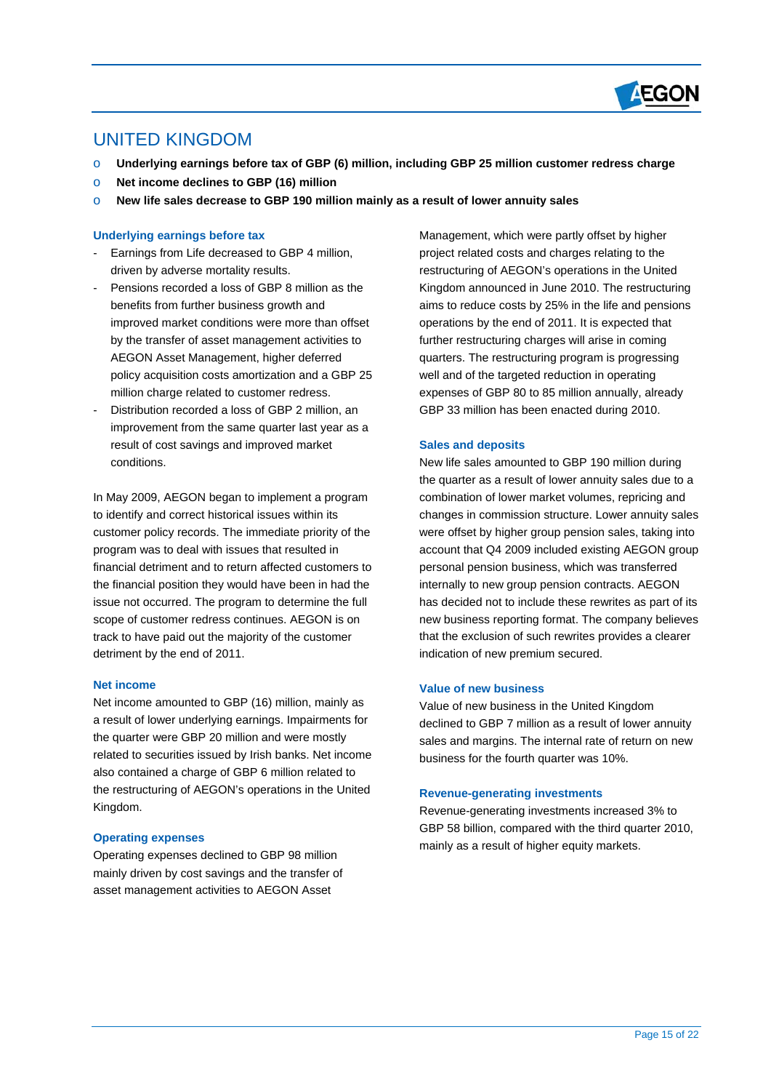

# UNITED KINGDOM

 $\overline{a}$ 

- o **Underlying earnings before tax of GBP (6) million, including GBP 25 million customer redress charge**
- o **Net income declines to GBP (16) million**
- o **New life sales decrease to GBP 190 million mainly as a result of lower annuity sales**

#### **Underlying earnings before tax**

- Earnings from Life decreased to GBP 4 million, driven by adverse mortality results.
- Pensions recorded a loss of GBP 8 million as the benefits from further business growth and improved market conditions were more than offset by the transfer of asset management activities to AEGON Asset Management, higher deferred policy acquisition costs amortization and a GBP 25 million charge related to customer redress.
- Distribution recorded a loss of GBP 2 million, an improvement from the same quarter last year as a result of cost savings and improved market conditions.

In May 2009, AEGON began to implement a program to identify and correct historical issues within its customer policy records. The immediate priority of the program was to deal with issues that resulted in financial detriment and to return affected customers to the financial position they would have been in had the issue not occurred. The program to determine the full scope of customer redress continues. AEGON is on track to have paid out the majority of the customer detriment by the end of 2011.

#### **Net income**

Net income amounted to GBP (16) million, mainly as a result of lower underlying earnings. Impairments for the quarter were GBP 20 million and were mostly related to securities issued by Irish banks. Net income also contained a charge of GBP 6 million related to the restructuring of AEGON's operations in the United Kingdom.

#### **Operating expenses**

Operating expenses declined to GBP 98 million mainly driven by cost savings and the transfer of asset management activities to AEGON Asset

Management, which were partly offset by higher project related costs and charges relating to the restructuring of AEGON's operations in the United Kingdom announced in June 2010. The restructuring aims to reduce costs by 25% in the life and pensions operations by the end of 2011. It is expected that further restructuring charges will arise in coming quarters. The restructuring program is progressing well and of the targeted reduction in operating expenses of GBP 80 to 85 million annually, already GBP 33 million has been enacted during 2010.

#### **Sales and deposits**

New life sales amounted to GBP 190 million during the quarter as a result of lower annuity sales due to a combination of lower market volumes, repricing and changes in commission structure. Lower annuity sales were offset by higher group pension sales, taking into account that Q4 2009 included existing AEGON group personal pension business, which was transferred internally to new group pension contracts. AEGON has decided not to include these rewrites as part of its new business reporting format. The company believes that the exclusion of such rewrites provides a clearer indication of new premium secured.

# **Value of new business**

Value of new business in the United Kingdom declined to GBP 7 million as a result of lower annuity sales and margins. The internal rate of return on new business for the fourth quarter was 10%.

#### **Revenue-generating investments**

Revenue-generating investments increased 3% to GBP 58 billion, compared with the third quarter 2010, mainly as a result of higher equity markets.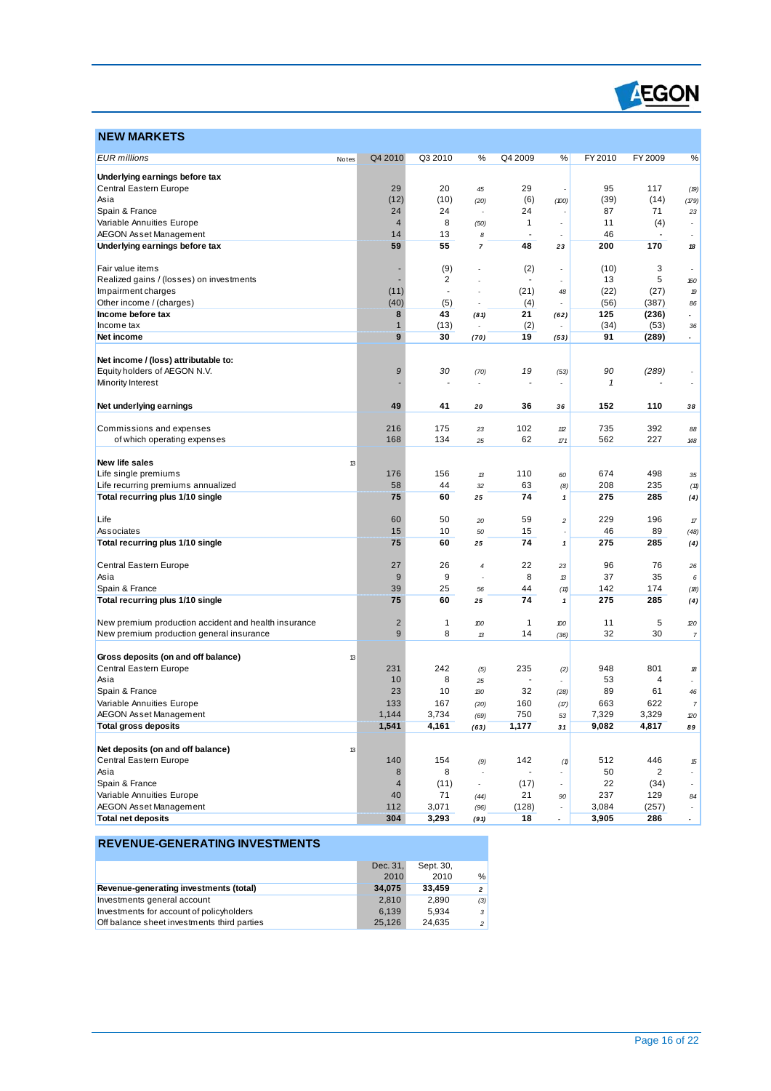

# **NEW MARKETS**

 $\overline{a}$ 

| Underlying earnings before tax<br>Central Eastern Europe<br>29<br>20<br>29<br>95<br>117<br>(19)<br>45<br>(12)<br>(10)<br>(6)<br>(39)<br>(14)<br>Asia<br>(100)<br>(179)<br>(20)<br>Spain & France<br>24<br>24<br>24<br>87<br>71<br>23<br>Variable Annuities Europe<br>$\overline{4}$<br>8<br>$\mathbf{1}$<br>11<br>(4)<br>(50)<br>46<br><b>AEGON Asset Management</b><br>14<br>13<br>8<br>$\blacksquare$<br>59<br>55<br>48<br>200<br>Underlying earnings before tax<br>170<br>$\overline{7}$<br>23<br>18<br>(9)<br>(2)<br>(10)<br>3<br>Fair value items<br>$\overline{\phantom{a}}$<br>Realized gains / (losses) on investments<br>2<br>13<br>5<br>160<br>÷,<br>Impairment charges<br>(11)<br>(21)<br>(22)<br>(27)<br>÷,<br>48<br>19<br>(40)<br>Other income / (charges)<br>(56)<br>(5)<br>(4)<br>(387)<br>86<br>÷<br>8<br>43<br>21<br>Income before tax<br>125<br>(236)<br>(81)<br>(62)<br>$\mathbf{1}$<br>(13)<br>(2)<br>(34)<br>Income tax<br>(53)<br>36<br>9<br>30<br>19<br>91<br>(289)<br>Net income<br>(70)<br>(53)<br>$\overline{\phantom{a}}$<br>Net income / (loss) attributable to:<br>Equity holders of AEGON N.V.<br>9<br>30<br>19<br>90<br>(289)<br>(53)<br>(70)<br>Minority Interest<br>1<br>Net underlying earnings<br>49<br>41<br>36<br>152<br>110<br>20<br>36<br>38<br>102<br>735<br>392<br>Commissions and expenses<br>216<br>175<br>23<br>12<br>88<br>168<br>134<br>62<br>562<br>227<br>of which operating expenses<br>25<br>171<br>148<br>New life sales<br>13<br>Life single premiums<br>176<br>156<br>110<br>674<br>498<br>13<br>60<br>35<br>58<br>208<br>Life recurring premiums annualized<br>44<br>63<br>235<br>(8)<br>32<br>(11)<br>75<br>74<br>Total recurring plus 1/10 single<br>60<br>275<br>285<br>25<br>$\pmb{\mathcal{I}}$<br>(4)<br>229<br>60<br>50<br>59<br>196<br>Life<br>$\overline{c}$<br>20<br>$\ensuremath{\mathcal{T}}\xspace$<br>15<br>46<br>89<br>10<br>15<br>Associates<br>50<br>(48)<br>74<br>275<br>285<br>Total recurring plus 1/10 single<br>75<br>60<br>25<br>$\mathbf{1}$<br>(4)<br>Central Eastern Europe<br>27<br>26<br>22<br>96<br>76<br>23<br>$\overline{4}$<br>26<br>9<br>9<br>8<br>37<br>35<br>Asia<br>13<br>6<br>25<br>Spain & France<br>39<br>44<br>142<br>174<br>56<br>(11)<br>(18)<br>75<br>285<br>Total recurring plus 1/10 single<br>60<br>74<br>275<br>25<br>1<br>(4)<br>$\overline{2}$<br>New premium production accident and health insurance<br>1<br>11<br>5<br>$\mathbf{1}$<br>100<br>100<br>20<br>9<br>8<br>14<br>32<br>30<br>New premium production general insurance<br>13<br>$\overline{7}$<br>(36)<br>Gross deposits (on and off balance)<br>13<br>Central Eastern Europe<br>231<br>242<br>235<br>948<br>801<br>(2)<br>(5)<br>18<br>10<br>8<br>53<br>4<br>Asia<br>25<br>$\blacksquare$<br>$\overline{\phantom{a}}$<br>Spain & France<br>23<br>10<br>32<br>89<br>61<br>130<br>46<br>(28)<br>663<br>Variable Annuities Europe<br>133<br>167<br>160<br>622<br>(17)<br>$\boldsymbol{7}$<br>(20)<br><b>AEGON Asset Management</b><br>1,144<br>3,734<br>750<br>7,329<br>3,329<br>(69)<br>53<br>20<br>1,541<br>1,177<br>9,082<br>4,817<br>4,161<br>Total gross deposits<br>(63)<br>31<br>89<br>Net deposits (on and off balance)<br>13<br>Central Eastern Europe<br>140<br>154<br>142<br>512<br>446<br>(9)<br>(1)<br>15<br>8<br>50<br>Asia<br>8<br>$\overline{2}$<br>÷<br>Spain & France<br>$\overline{4}$<br>(11)<br>(17)<br>22<br>(34)<br>$\overline{\phantom{a}}$<br>$\overline{\phantom{a}}$<br>$\overline{\phantom{a}}$<br>Variable Annuities Europe<br>21<br>237<br>129<br>40<br>71<br>90<br>(44)<br>84<br><b>AEGON Asset Management</b><br>112<br>3,071<br>3,084<br>(128)<br>(257)<br>(96)<br>$\overline{\phantom{a}}$<br>÷<br><b>Total net deposits</b><br>3,293<br>3,905<br>304<br>18<br>286<br>(91) |                     |       |         |         |   |         |   |         |         |   |
|-------------------------------------------------------------------------------------------------------------------------------------------------------------------------------------------------------------------------------------------------------------------------------------------------------------------------------------------------------------------------------------------------------------------------------------------------------------------------------------------------------------------------------------------------------------------------------------------------------------------------------------------------------------------------------------------------------------------------------------------------------------------------------------------------------------------------------------------------------------------------------------------------------------------------------------------------------------------------------------------------------------------------------------------------------------------------------------------------------------------------------------------------------------------------------------------------------------------------------------------------------------------------------------------------------------------------------------------------------------------------------------------------------------------------------------------------------------------------------------------------------------------------------------------------------------------------------------------------------------------------------------------------------------------------------------------------------------------------------------------------------------------------------------------------------------------------------------------------------------------------------------------------------------------------------------------------------------------------------------------------------------------------------------------------------------------------------------------------------------------------------------------------------------------------------------------------------------------------------------------------------------------------------------------------------------------------------------------------------------------------------------------------------------------------------------------------------------------------------------------------------------------------------------------------------------------------------------------------------------------------------------------------------------------------------------------------------------------------------------------------------------------------------------------------------------------------------------------------------------------------------------------------------------------------------------------------------------------------------------------------------------------------------------------------------------------------------------------------------------------------------------------------------------------------------------------------------------------------------------------------------------------------------------------------------------------------------------------------------------------------------------------------------------------------------------------------------------------------------------------------------------------------------------------------------------------------------------------------------------------------------------------------------------------------------------------------------------------------------------------------------------------------------|---------------------|-------|---------|---------|---|---------|---|---------|---------|---|
|                                                                                                                                                                                                                                                                                                                                                                                                                                                                                                                                                                                                                                                                                                                                                                                                                                                                                                                                                                                                                                                                                                                                                                                                                                                                                                                                                                                                                                                                                                                                                                                                                                                                                                                                                                                                                                                                                                                                                                                                                                                                                                                                                                                                                                                                                                                                                                                                                                                                                                                                                                                                                                                                                                                                                                                                                                                                                                                                                                                                                                                                                                                                                                                                                                                                                                                                                                                                                                                                                                                                                                                                                                                                                                                                                                               | <b>EUR</b> millions | Notes | Q4 2010 | Q3 2010 | % | Q4 2009 | ℅ | FY 2010 | FY 2009 | % |
|                                                                                                                                                                                                                                                                                                                                                                                                                                                                                                                                                                                                                                                                                                                                                                                                                                                                                                                                                                                                                                                                                                                                                                                                                                                                                                                                                                                                                                                                                                                                                                                                                                                                                                                                                                                                                                                                                                                                                                                                                                                                                                                                                                                                                                                                                                                                                                                                                                                                                                                                                                                                                                                                                                                                                                                                                                                                                                                                                                                                                                                                                                                                                                                                                                                                                                                                                                                                                                                                                                                                                                                                                                                                                                                                                                               |                     |       |         |         |   |         |   |         |         |   |
|                                                                                                                                                                                                                                                                                                                                                                                                                                                                                                                                                                                                                                                                                                                                                                                                                                                                                                                                                                                                                                                                                                                                                                                                                                                                                                                                                                                                                                                                                                                                                                                                                                                                                                                                                                                                                                                                                                                                                                                                                                                                                                                                                                                                                                                                                                                                                                                                                                                                                                                                                                                                                                                                                                                                                                                                                                                                                                                                                                                                                                                                                                                                                                                                                                                                                                                                                                                                                                                                                                                                                                                                                                                                                                                                                                               |                     |       |         |         |   |         |   |         |         |   |
|                                                                                                                                                                                                                                                                                                                                                                                                                                                                                                                                                                                                                                                                                                                                                                                                                                                                                                                                                                                                                                                                                                                                                                                                                                                                                                                                                                                                                                                                                                                                                                                                                                                                                                                                                                                                                                                                                                                                                                                                                                                                                                                                                                                                                                                                                                                                                                                                                                                                                                                                                                                                                                                                                                                                                                                                                                                                                                                                                                                                                                                                                                                                                                                                                                                                                                                                                                                                                                                                                                                                                                                                                                                                                                                                                                               |                     |       |         |         |   |         |   |         |         |   |
|                                                                                                                                                                                                                                                                                                                                                                                                                                                                                                                                                                                                                                                                                                                                                                                                                                                                                                                                                                                                                                                                                                                                                                                                                                                                                                                                                                                                                                                                                                                                                                                                                                                                                                                                                                                                                                                                                                                                                                                                                                                                                                                                                                                                                                                                                                                                                                                                                                                                                                                                                                                                                                                                                                                                                                                                                                                                                                                                                                                                                                                                                                                                                                                                                                                                                                                                                                                                                                                                                                                                                                                                                                                                                                                                                                               |                     |       |         |         |   |         |   |         |         |   |
|                                                                                                                                                                                                                                                                                                                                                                                                                                                                                                                                                                                                                                                                                                                                                                                                                                                                                                                                                                                                                                                                                                                                                                                                                                                                                                                                                                                                                                                                                                                                                                                                                                                                                                                                                                                                                                                                                                                                                                                                                                                                                                                                                                                                                                                                                                                                                                                                                                                                                                                                                                                                                                                                                                                                                                                                                                                                                                                                                                                                                                                                                                                                                                                                                                                                                                                                                                                                                                                                                                                                                                                                                                                                                                                                                                               |                     |       |         |         |   |         |   |         |         |   |
|                                                                                                                                                                                                                                                                                                                                                                                                                                                                                                                                                                                                                                                                                                                                                                                                                                                                                                                                                                                                                                                                                                                                                                                                                                                                                                                                                                                                                                                                                                                                                                                                                                                                                                                                                                                                                                                                                                                                                                                                                                                                                                                                                                                                                                                                                                                                                                                                                                                                                                                                                                                                                                                                                                                                                                                                                                                                                                                                                                                                                                                                                                                                                                                                                                                                                                                                                                                                                                                                                                                                                                                                                                                                                                                                                                               |                     |       |         |         |   |         |   |         |         |   |
|                                                                                                                                                                                                                                                                                                                                                                                                                                                                                                                                                                                                                                                                                                                                                                                                                                                                                                                                                                                                                                                                                                                                                                                                                                                                                                                                                                                                                                                                                                                                                                                                                                                                                                                                                                                                                                                                                                                                                                                                                                                                                                                                                                                                                                                                                                                                                                                                                                                                                                                                                                                                                                                                                                                                                                                                                                                                                                                                                                                                                                                                                                                                                                                                                                                                                                                                                                                                                                                                                                                                                                                                                                                                                                                                                                               |                     |       |         |         |   |         |   |         |         |   |
|                                                                                                                                                                                                                                                                                                                                                                                                                                                                                                                                                                                                                                                                                                                                                                                                                                                                                                                                                                                                                                                                                                                                                                                                                                                                                                                                                                                                                                                                                                                                                                                                                                                                                                                                                                                                                                                                                                                                                                                                                                                                                                                                                                                                                                                                                                                                                                                                                                                                                                                                                                                                                                                                                                                                                                                                                                                                                                                                                                                                                                                                                                                                                                                                                                                                                                                                                                                                                                                                                                                                                                                                                                                                                                                                                                               |                     |       |         |         |   |         |   |         |         |   |
|                                                                                                                                                                                                                                                                                                                                                                                                                                                                                                                                                                                                                                                                                                                                                                                                                                                                                                                                                                                                                                                                                                                                                                                                                                                                                                                                                                                                                                                                                                                                                                                                                                                                                                                                                                                                                                                                                                                                                                                                                                                                                                                                                                                                                                                                                                                                                                                                                                                                                                                                                                                                                                                                                                                                                                                                                                                                                                                                                                                                                                                                                                                                                                                                                                                                                                                                                                                                                                                                                                                                                                                                                                                                                                                                                                               |                     |       |         |         |   |         |   |         |         |   |
|                                                                                                                                                                                                                                                                                                                                                                                                                                                                                                                                                                                                                                                                                                                                                                                                                                                                                                                                                                                                                                                                                                                                                                                                                                                                                                                                                                                                                                                                                                                                                                                                                                                                                                                                                                                                                                                                                                                                                                                                                                                                                                                                                                                                                                                                                                                                                                                                                                                                                                                                                                                                                                                                                                                                                                                                                                                                                                                                                                                                                                                                                                                                                                                                                                                                                                                                                                                                                                                                                                                                                                                                                                                                                                                                                                               |                     |       |         |         |   |         |   |         |         |   |
|                                                                                                                                                                                                                                                                                                                                                                                                                                                                                                                                                                                                                                                                                                                                                                                                                                                                                                                                                                                                                                                                                                                                                                                                                                                                                                                                                                                                                                                                                                                                                                                                                                                                                                                                                                                                                                                                                                                                                                                                                                                                                                                                                                                                                                                                                                                                                                                                                                                                                                                                                                                                                                                                                                                                                                                                                                                                                                                                                                                                                                                                                                                                                                                                                                                                                                                                                                                                                                                                                                                                                                                                                                                                                                                                                                               |                     |       |         |         |   |         |   |         |         |   |
|                                                                                                                                                                                                                                                                                                                                                                                                                                                                                                                                                                                                                                                                                                                                                                                                                                                                                                                                                                                                                                                                                                                                                                                                                                                                                                                                                                                                                                                                                                                                                                                                                                                                                                                                                                                                                                                                                                                                                                                                                                                                                                                                                                                                                                                                                                                                                                                                                                                                                                                                                                                                                                                                                                                                                                                                                                                                                                                                                                                                                                                                                                                                                                                                                                                                                                                                                                                                                                                                                                                                                                                                                                                                                                                                                                               |                     |       |         |         |   |         |   |         |         |   |
|                                                                                                                                                                                                                                                                                                                                                                                                                                                                                                                                                                                                                                                                                                                                                                                                                                                                                                                                                                                                                                                                                                                                                                                                                                                                                                                                                                                                                                                                                                                                                                                                                                                                                                                                                                                                                                                                                                                                                                                                                                                                                                                                                                                                                                                                                                                                                                                                                                                                                                                                                                                                                                                                                                                                                                                                                                                                                                                                                                                                                                                                                                                                                                                                                                                                                                                                                                                                                                                                                                                                                                                                                                                                                                                                                                               |                     |       |         |         |   |         |   |         |         |   |
|                                                                                                                                                                                                                                                                                                                                                                                                                                                                                                                                                                                                                                                                                                                                                                                                                                                                                                                                                                                                                                                                                                                                                                                                                                                                                                                                                                                                                                                                                                                                                                                                                                                                                                                                                                                                                                                                                                                                                                                                                                                                                                                                                                                                                                                                                                                                                                                                                                                                                                                                                                                                                                                                                                                                                                                                                                                                                                                                                                                                                                                                                                                                                                                                                                                                                                                                                                                                                                                                                                                                                                                                                                                                                                                                                                               |                     |       |         |         |   |         |   |         |         |   |
|                                                                                                                                                                                                                                                                                                                                                                                                                                                                                                                                                                                                                                                                                                                                                                                                                                                                                                                                                                                                                                                                                                                                                                                                                                                                                                                                                                                                                                                                                                                                                                                                                                                                                                                                                                                                                                                                                                                                                                                                                                                                                                                                                                                                                                                                                                                                                                                                                                                                                                                                                                                                                                                                                                                                                                                                                                                                                                                                                                                                                                                                                                                                                                                                                                                                                                                                                                                                                                                                                                                                                                                                                                                                                                                                                                               |                     |       |         |         |   |         |   |         |         |   |
|                                                                                                                                                                                                                                                                                                                                                                                                                                                                                                                                                                                                                                                                                                                                                                                                                                                                                                                                                                                                                                                                                                                                                                                                                                                                                                                                                                                                                                                                                                                                                                                                                                                                                                                                                                                                                                                                                                                                                                                                                                                                                                                                                                                                                                                                                                                                                                                                                                                                                                                                                                                                                                                                                                                                                                                                                                                                                                                                                                                                                                                                                                                                                                                                                                                                                                                                                                                                                                                                                                                                                                                                                                                                                                                                                                               |                     |       |         |         |   |         |   |         |         |   |
|                                                                                                                                                                                                                                                                                                                                                                                                                                                                                                                                                                                                                                                                                                                                                                                                                                                                                                                                                                                                                                                                                                                                                                                                                                                                                                                                                                                                                                                                                                                                                                                                                                                                                                                                                                                                                                                                                                                                                                                                                                                                                                                                                                                                                                                                                                                                                                                                                                                                                                                                                                                                                                                                                                                                                                                                                                                                                                                                                                                                                                                                                                                                                                                                                                                                                                                                                                                                                                                                                                                                                                                                                                                                                                                                                                               |                     |       |         |         |   |         |   |         |         |   |
|                                                                                                                                                                                                                                                                                                                                                                                                                                                                                                                                                                                                                                                                                                                                                                                                                                                                                                                                                                                                                                                                                                                                                                                                                                                                                                                                                                                                                                                                                                                                                                                                                                                                                                                                                                                                                                                                                                                                                                                                                                                                                                                                                                                                                                                                                                                                                                                                                                                                                                                                                                                                                                                                                                                                                                                                                                                                                                                                                                                                                                                                                                                                                                                                                                                                                                                                                                                                                                                                                                                                                                                                                                                                                                                                                                               |                     |       |         |         |   |         |   |         |         |   |
|                                                                                                                                                                                                                                                                                                                                                                                                                                                                                                                                                                                                                                                                                                                                                                                                                                                                                                                                                                                                                                                                                                                                                                                                                                                                                                                                                                                                                                                                                                                                                                                                                                                                                                                                                                                                                                                                                                                                                                                                                                                                                                                                                                                                                                                                                                                                                                                                                                                                                                                                                                                                                                                                                                                                                                                                                                                                                                                                                                                                                                                                                                                                                                                                                                                                                                                                                                                                                                                                                                                                                                                                                                                                                                                                                                               |                     |       |         |         |   |         |   |         |         |   |
|                                                                                                                                                                                                                                                                                                                                                                                                                                                                                                                                                                                                                                                                                                                                                                                                                                                                                                                                                                                                                                                                                                                                                                                                                                                                                                                                                                                                                                                                                                                                                                                                                                                                                                                                                                                                                                                                                                                                                                                                                                                                                                                                                                                                                                                                                                                                                                                                                                                                                                                                                                                                                                                                                                                                                                                                                                                                                                                                                                                                                                                                                                                                                                                                                                                                                                                                                                                                                                                                                                                                                                                                                                                                                                                                                                               |                     |       |         |         |   |         |   |         |         |   |
|                                                                                                                                                                                                                                                                                                                                                                                                                                                                                                                                                                                                                                                                                                                                                                                                                                                                                                                                                                                                                                                                                                                                                                                                                                                                                                                                                                                                                                                                                                                                                                                                                                                                                                                                                                                                                                                                                                                                                                                                                                                                                                                                                                                                                                                                                                                                                                                                                                                                                                                                                                                                                                                                                                                                                                                                                                                                                                                                                                                                                                                                                                                                                                                                                                                                                                                                                                                                                                                                                                                                                                                                                                                                                                                                                                               |                     |       |         |         |   |         |   |         |         |   |
|                                                                                                                                                                                                                                                                                                                                                                                                                                                                                                                                                                                                                                                                                                                                                                                                                                                                                                                                                                                                                                                                                                                                                                                                                                                                                                                                                                                                                                                                                                                                                                                                                                                                                                                                                                                                                                                                                                                                                                                                                                                                                                                                                                                                                                                                                                                                                                                                                                                                                                                                                                                                                                                                                                                                                                                                                                                                                                                                                                                                                                                                                                                                                                                                                                                                                                                                                                                                                                                                                                                                                                                                                                                                                                                                                                               |                     |       |         |         |   |         |   |         |         |   |
|                                                                                                                                                                                                                                                                                                                                                                                                                                                                                                                                                                                                                                                                                                                                                                                                                                                                                                                                                                                                                                                                                                                                                                                                                                                                                                                                                                                                                                                                                                                                                                                                                                                                                                                                                                                                                                                                                                                                                                                                                                                                                                                                                                                                                                                                                                                                                                                                                                                                                                                                                                                                                                                                                                                                                                                                                                                                                                                                                                                                                                                                                                                                                                                                                                                                                                                                                                                                                                                                                                                                                                                                                                                                                                                                                                               |                     |       |         |         |   |         |   |         |         |   |
|                                                                                                                                                                                                                                                                                                                                                                                                                                                                                                                                                                                                                                                                                                                                                                                                                                                                                                                                                                                                                                                                                                                                                                                                                                                                                                                                                                                                                                                                                                                                                                                                                                                                                                                                                                                                                                                                                                                                                                                                                                                                                                                                                                                                                                                                                                                                                                                                                                                                                                                                                                                                                                                                                                                                                                                                                                                                                                                                                                                                                                                                                                                                                                                                                                                                                                                                                                                                                                                                                                                                                                                                                                                                                                                                                                               |                     |       |         |         |   |         |   |         |         |   |
|                                                                                                                                                                                                                                                                                                                                                                                                                                                                                                                                                                                                                                                                                                                                                                                                                                                                                                                                                                                                                                                                                                                                                                                                                                                                                                                                                                                                                                                                                                                                                                                                                                                                                                                                                                                                                                                                                                                                                                                                                                                                                                                                                                                                                                                                                                                                                                                                                                                                                                                                                                                                                                                                                                                                                                                                                                                                                                                                                                                                                                                                                                                                                                                                                                                                                                                                                                                                                                                                                                                                                                                                                                                                                                                                                                               |                     |       |         |         |   |         |   |         |         |   |
|                                                                                                                                                                                                                                                                                                                                                                                                                                                                                                                                                                                                                                                                                                                                                                                                                                                                                                                                                                                                                                                                                                                                                                                                                                                                                                                                                                                                                                                                                                                                                                                                                                                                                                                                                                                                                                                                                                                                                                                                                                                                                                                                                                                                                                                                                                                                                                                                                                                                                                                                                                                                                                                                                                                                                                                                                                                                                                                                                                                                                                                                                                                                                                                                                                                                                                                                                                                                                                                                                                                                                                                                                                                                                                                                                                               |                     |       |         |         |   |         |   |         |         |   |
|                                                                                                                                                                                                                                                                                                                                                                                                                                                                                                                                                                                                                                                                                                                                                                                                                                                                                                                                                                                                                                                                                                                                                                                                                                                                                                                                                                                                                                                                                                                                                                                                                                                                                                                                                                                                                                                                                                                                                                                                                                                                                                                                                                                                                                                                                                                                                                                                                                                                                                                                                                                                                                                                                                                                                                                                                                                                                                                                                                                                                                                                                                                                                                                                                                                                                                                                                                                                                                                                                                                                                                                                                                                                                                                                                                               |                     |       |         |         |   |         |   |         |         |   |
|                                                                                                                                                                                                                                                                                                                                                                                                                                                                                                                                                                                                                                                                                                                                                                                                                                                                                                                                                                                                                                                                                                                                                                                                                                                                                                                                                                                                                                                                                                                                                                                                                                                                                                                                                                                                                                                                                                                                                                                                                                                                                                                                                                                                                                                                                                                                                                                                                                                                                                                                                                                                                                                                                                                                                                                                                                                                                                                                                                                                                                                                                                                                                                                                                                                                                                                                                                                                                                                                                                                                                                                                                                                                                                                                                                               |                     |       |         |         |   |         |   |         |         |   |
|                                                                                                                                                                                                                                                                                                                                                                                                                                                                                                                                                                                                                                                                                                                                                                                                                                                                                                                                                                                                                                                                                                                                                                                                                                                                                                                                                                                                                                                                                                                                                                                                                                                                                                                                                                                                                                                                                                                                                                                                                                                                                                                                                                                                                                                                                                                                                                                                                                                                                                                                                                                                                                                                                                                                                                                                                                                                                                                                                                                                                                                                                                                                                                                                                                                                                                                                                                                                                                                                                                                                                                                                                                                                                                                                                                               |                     |       |         |         |   |         |   |         |         |   |
|                                                                                                                                                                                                                                                                                                                                                                                                                                                                                                                                                                                                                                                                                                                                                                                                                                                                                                                                                                                                                                                                                                                                                                                                                                                                                                                                                                                                                                                                                                                                                                                                                                                                                                                                                                                                                                                                                                                                                                                                                                                                                                                                                                                                                                                                                                                                                                                                                                                                                                                                                                                                                                                                                                                                                                                                                                                                                                                                                                                                                                                                                                                                                                                                                                                                                                                                                                                                                                                                                                                                                                                                                                                                                                                                                                               |                     |       |         |         |   |         |   |         |         |   |
|                                                                                                                                                                                                                                                                                                                                                                                                                                                                                                                                                                                                                                                                                                                                                                                                                                                                                                                                                                                                                                                                                                                                                                                                                                                                                                                                                                                                                                                                                                                                                                                                                                                                                                                                                                                                                                                                                                                                                                                                                                                                                                                                                                                                                                                                                                                                                                                                                                                                                                                                                                                                                                                                                                                                                                                                                                                                                                                                                                                                                                                                                                                                                                                                                                                                                                                                                                                                                                                                                                                                                                                                                                                                                                                                                                               |                     |       |         |         |   |         |   |         |         |   |
|                                                                                                                                                                                                                                                                                                                                                                                                                                                                                                                                                                                                                                                                                                                                                                                                                                                                                                                                                                                                                                                                                                                                                                                                                                                                                                                                                                                                                                                                                                                                                                                                                                                                                                                                                                                                                                                                                                                                                                                                                                                                                                                                                                                                                                                                                                                                                                                                                                                                                                                                                                                                                                                                                                                                                                                                                                                                                                                                                                                                                                                                                                                                                                                                                                                                                                                                                                                                                                                                                                                                                                                                                                                                                                                                                                               |                     |       |         |         |   |         |   |         |         |   |
|                                                                                                                                                                                                                                                                                                                                                                                                                                                                                                                                                                                                                                                                                                                                                                                                                                                                                                                                                                                                                                                                                                                                                                                                                                                                                                                                                                                                                                                                                                                                                                                                                                                                                                                                                                                                                                                                                                                                                                                                                                                                                                                                                                                                                                                                                                                                                                                                                                                                                                                                                                                                                                                                                                                                                                                                                                                                                                                                                                                                                                                                                                                                                                                                                                                                                                                                                                                                                                                                                                                                                                                                                                                                                                                                                                               |                     |       |         |         |   |         |   |         |         |   |
|                                                                                                                                                                                                                                                                                                                                                                                                                                                                                                                                                                                                                                                                                                                                                                                                                                                                                                                                                                                                                                                                                                                                                                                                                                                                                                                                                                                                                                                                                                                                                                                                                                                                                                                                                                                                                                                                                                                                                                                                                                                                                                                                                                                                                                                                                                                                                                                                                                                                                                                                                                                                                                                                                                                                                                                                                                                                                                                                                                                                                                                                                                                                                                                                                                                                                                                                                                                                                                                                                                                                                                                                                                                                                                                                                                               |                     |       |         |         |   |         |   |         |         |   |
|                                                                                                                                                                                                                                                                                                                                                                                                                                                                                                                                                                                                                                                                                                                                                                                                                                                                                                                                                                                                                                                                                                                                                                                                                                                                                                                                                                                                                                                                                                                                                                                                                                                                                                                                                                                                                                                                                                                                                                                                                                                                                                                                                                                                                                                                                                                                                                                                                                                                                                                                                                                                                                                                                                                                                                                                                                                                                                                                                                                                                                                                                                                                                                                                                                                                                                                                                                                                                                                                                                                                                                                                                                                                                                                                                                               |                     |       |         |         |   |         |   |         |         |   |
|                                                                                                                                                                                                                                                                                                                                                                                                                                                                                                                                                                                                                                                                                                                                                                                                                                                                                                                                                                                                                                                                                                                                                                                                                                                                                                                                                                                                                                                                                                                                                                                                                                                                                                                                                                                                                                                                                                                                                                                                                                                                                                                                                                                                                                                                                                                                                                                                                                                                                                                                                                                                                                                                                                                                                                                                                                                                                                                                                                                                                                                                                                                                                                                                                                                                                                                                                                                                                                                                                                                                                                                                                                                                                                                                                                               |                     |       |         |         |   |         |   |         |         |   |
|                                                                                                                                                                                                                                                                                                                                                                                                                                                                                                                                                                                                                                                                                                                                                                                                                                                                                                                                                                                                                                                                                                                                                                                                                                                                                                                                                                                                                                                                                                                                                                                                                                                                                                                                                                                                                                                                                                                                                                                                                                                                                                                                                                                                                                                                                                                                                                                                                                                                                                                                                                                                                                                                                                                                                                                                                                                                                                                                                                                                                                                                                                                                                                                                                                                                                                                                                                                                                                                                                                                                                                                                                                                                                                                                                                               |                     |       |         |         |   |         |   |         |         |   |
|                                                                                                                                                                                                                                                                                                                                                                                                                                                                                                                                                                                                                                                                                                                                                                                                                                                                                                                                                                                                                                                                                                                                                                                                                                                                                                                                                                                                                                                                                                                                                                                                                                                                                                                                                                                                                                                                                                                                                                                                                                                                                                                                                                                                                                                                                                                                                                                                                                                                                                                                                                                                                                                                                                                                                                                                                                                                                                                                                                                                                                                                                                                                                                                                                                                                                                                                                                                                                                                                                                                                                                                                                                                                                                                                                                               |                     |       |         |         |   |         |   |         |         |   |
|                                                                                                                                                                                                                                                                                                                                                                                                                                                                                                                                                                                                                                                                                                                                                                                                                                                                                                                                                                                                                                                                                                                                                                                                                                                                                                                                                                                                                                                                                                                                                                                                                                                                                                                                                                                                                                                                                                                                                                                                                                                                                                                                                                                                                                                                                                                                                                                                                                                                                                                                                                                                                                                                                                                                                                                                                                                                                                                                                                                                                                                                                                                                                                                                                                                                                                                                                                                                                                                                                                                                                                                                                                                                                                                                                                               |                     |       |         |         |   |         |   |         |         |   |
|                                                                                                                                                                                                                                                                                                                                                                                                                                                                                                                                                                                                                                                                                                                                                                                                                                                                                                                                                                                                                                                                                                                                                                                                                                                                                                                                                                                                                                                                                                                                                                                                                                                                                                                                                                                                                                                                                                                                                                                                                                                                                                                                                                                                                                                                                                                                                                                                                                                                                                                                                                                                                                                                                                                                                                                                                                                                                                                                                                                                                                                                                                                                                                                                                                                                                                                                                                                                                                                                                                                                                                                                                                                                                                                                                                               |                     |       |         |         |   |         |   |         |         |   |
|                                                                                                                                                                                                                                                                                                                                                                                                                                                                                                                                                                                                                                                                                                                                                                                                                                                                                                                                                                                                                                                                                                                                                                                                                                                                                                                                                                                                                                                                                                                                                                                                                                                                                                                                                                                                                                                                                                                                                                                                                                                                                                                                                                                                                                                                                                                                                                                                                                                                                                                                                                                                                                                                                                                                                                                                                                                                                                                                                                                                                                                                                                                                                                                                                                                                                                                                                                                                                                                                                                                                                                                                                                                                                                                                                                               |                     |       |         |         |   |         |   |         |         |   |
|                                                                                                                                                                                                                                                                                                                                                                                                                                                                                                                                                                                                                                                                                                                                                                                                                                                                                                                                                                                                                                                                                                                                                                                                                                                                                                                                                                                                                                                                                                                                                                                                                                                                                                                                                                                                                                                                                                                                                                                                                                                                                                                                                                                                                                                                                                                                                                                                                                                                                                                                                                                                                                                                                                                                                                                                                                                                                                                                                                                                                                                                                                                                                                                                                                                                                                                                                                                                                                                                                                                                                                                                                                                                                                                                                                               |                     |       |         |         |   |         |   |         |         |   |
|                                                                                                                                                                                                                                                                                                                                                                                                                                                                                                                                                                                                                                                                                                                                                                                                                                                                                                                                                                                                                                                                                                                                                                                                                                                                                                                                                                                                                                                                                                                                                                                                                                                                                                                                                                                                                                                                                                                                                                                                                                                                                                                                                                                                                                                                                                                                                                                                                                                                                                                                                                                                                                                                                                                                                                                                                                                                                                                                                                                                                                                                                                                                                                                                                                                                                                                                                                                                                                                                                                                                                                                                                                                                                                                                                                               |                     |       |         |         |   |         |   |         |         |   |
|                                                                                                                                                                                                                                                                                                                                                                                                                                                                                                                                                                                                                                                                                                                                                                                                                                                                                                                                                                                                                                                                                                                                                                                                                                                                                                                                                                                                                                                                                                                                                                                                                                                                                                                                                                                                                                                                                                                                                                                                                                                                                                                                                                                                                                                                                                                                                                                                                                                                                                                                                                                                                                                                                                                                                                                                                                                                                                                                                                                                                                                                                                                                                                                                                                                                                                                                                                                                                                                                                                                                                                                                                                                                                                                                                                               |                     |       |         |         |   |         |   |         |         |   |
|                                                                                                                                                                                                                                                                                                                                                                                                                                                                                                                                                                                                                                                                                                                                                                                                                                                                                                                                                                                                                                                                                                                                                                                                                                                                                                                                                                                                                                                                                                                                                                                                                                                                                                                                                                                                                                                                                                                                                                                                                                                                                                                                                                                                                                                                                                                                                                                                                                                                                                                                                                                                                                                                                                                                                                                                                                                                                                                                                                                                                                                                                                                                                                                                                                                                                                                                                                                                                                                                                                                                                                                                                                                                                                                                                                               |                     |       |         |         |   |         |   |         |         |   |
|                                                                                                                                                                                                                                                                                                                                                                                                                                                                                                                                                                                                                                                                                                                                                                                                                                                                                                                                                                                                                                                                                                                                                                                                                                                                                                                                                                                                                                                                                                                                                                                                                                                                                                                                                                                                                                                                                                                                                                                                                                                                                                                                                                                                                                                                                                                                                                                                                                                                                                                                                                                                                                                                                                                                                                                                                                                                                                                                                                                                                                                                                                                                                                                                                                                                                                                                                                                                                                                                                                                                                                                                                                                                                                                                                                               |                     |       |         |         |   |         |   |         |         |   |
|                                                                                                                                                                                                                                                                                                                                                                                                                                                                                                                                                                                                                                                                                                                                                                                                                                                                                                                                                                                                                                                                                                                                                                                                                                                                                                                                                                                                                                                                                                                                                                                                                                                                                                                                                                                                                                                                                                                                                                                                                                                                                                                                                                                                                                                                                                                                                                                                                                                                                                                                                                                                                                                                                                                                                                                                                                                                                                                                                                                                                                                                                                                                                                                                                                                                                                                                                                                                                                                                                                                                                                                                                                                                                                                                                                               |                     |       |         |         |   |         |   |         |         |   |
|                                                                                                                                                                                                                                                                                                                                                                                                                                                                                                                                                                                                                                                                                                                                                                                                                                                                                                                                                                                                                                                                                                                                                                                                                                                                                                                                                                                                                                                                                                                                                                                                                                                                                                                                                                                                                                                                                                                                                                                                                                                                                                                                                                                                                                                                                                                                                                                                                                                                                                                                                                                                                                                                                                                                                                                                                                                                                                                                                                                                                                                                                                                                                                                                                                                                                                                                                                                                                                                                                                                                                                                                                                                                                                                                                                               |                     |       |         |         |   |         |   |         |         |   |
|                                                                                                                                                                                                                                                                                                                                                                                                                                                                                                                                                                                                                                                                                                                                                                                                                                                                                                                                                                                                                                                                                                                                                                                                                                                                                                                                                                                                                                                                                                                                                                                                                                                                                                                                                                                                                                                                                                                                                                                                                                                                                                                                                                                                                                                                                                                                                                                                                                                                                                                                                                                                                                                                                                                                                                                                                                                                                                                                                                                                                                                                                                                                                                                                                                                                                                                                                                                                                                                                                                                                                                                                                                                                                                                                                                               |                     |       |         |         |   |         |   |         |         |   |
|                                                                                                                                                                                                                                                                                                                                                                                                                                                                                                                                                                                                                                                                                                                                                                                                                                                                                                                                                                                                                                                                                                                                                                                                                                                                                                                                                                                                                                                                                                                                                                                                                                                                                                                                                                                                                                                                                                                                                                                                                                                                                                                                                                                                                                                                                                                                                                                                                                                                                                                                                                                                                                                                                                                                                                                                                                                                                                                                                                                                                                                                                                                                                                                                                                                                                                                                                                                                                                                                                                                                                                                                                                                                                                                                                                               |                     |       |         |         |   |         |   |         |         |   |

# **REVENUE-GENERATING INVESTMENTS**

|                                             | Dec. 31. | Sept. 30, |                |
|---------------------------------------------|----------|-----------|----------------|
|                                             | 2010     | 2010      | %              |
| Revenue-generating investments (total)      | 34.075   | 33.459    | $\overline{2}$ |
| Investments general account                 | 2.810    | 2.890     | (3)            |
| Investments for account of policyholders    | 6.139    | 5.934     | $\mathcal{R}$  |
| Off balance sheet investments third parties | 25.126   | 24.635    | 2              |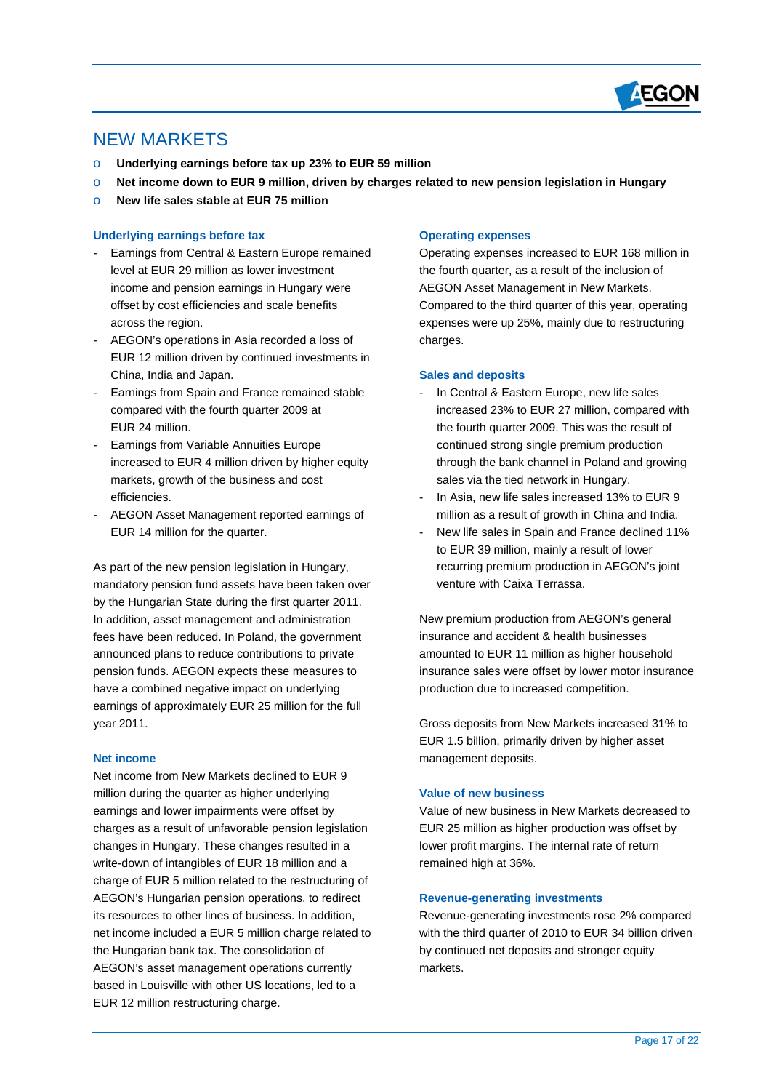

# NEW MARKETS

 $\overline{a}$ 

- o **Underlying earnings before tax up 23% to EUR 59 million**
- o **Net income down to EUR 9 million, driven by charges related to new pension legislation in Hungary**
- o **New life sales stable at EUR 75 million**

## **Underlying earnings before tax**

- Earnings from Central & Eastern Europe remained level at EUR 29 million as lower investment income and pension earnings in Hungary were offset by cost efficiencies and scale benefits across the region.
- AEGON's operations in Asia recorded a loss of EUR 12 million driven by continued investments in China, India and Japan.
- Earnings from Spain and France remained stable compared with the fourth quarter 2009 at EUR 24 million.
- Earnings from Variable Annuities Europe increased to EUR 4 million driven by higher equity markets, growth of the business and cost efficiencies.
- AEGON Asset Management reported earnings of EUR 14 million for the quarter.

As part of the new pension legislation in Hungary, mandatory pension fund assets have been taken over by the Hungarian State during the first quarter 2011. In addition, asset management and administration fees have been reduced. In Poland, the government announced plans to reduce contributions to private pension funds. AEGON expects these measures to have a combined negative impact on underlying earnings of approximately EUR 25 million for the full year 2011.

# **Net income**

Net income from New Markets declined to EUR 9 million during the quarter as higher underlying earnings and lower impairments were offset by charges as a result of unfavorable pension legislation changes in Hungary. These changes resulted in a write-down of intangibles of EUR 18 million and a charge of EUR 5 million related to the restructuring of AEGON's Hungarian pension operations, to redirect its resources to other lines of business. In addition, net income included a EUR 5 million charge related to the Hungarian bank tax. The consolidation of AEGON's asset management operations currently based in Louisville with other US locations, led to a EUR 12 million restructuring charge.

#### **Operating expenses**

Operating expenses increased to EUR 168 million in the fourth quarter, as a result of the inclusion of AEGON Asset Management in New Markets. Compared to the third quarter of this year, operating expenses were up 25%, mainly due to restructuring charges.

## **Sales and deposits**

- In Central & Eastern Europe, new life sales increased 23% to EUR 27 million, compared with the fourth quarter 2009. This was the result of continued strong single premium production through the bank channel in Poland and growing sales via the tied network in Hungary.
- In Asia, new life sales increased 13% to EUR 9 million as a result of growth in China and India.
- New life sales in Spain and France declined 11% to EUR 39 million, mainly a result of lower recurring premium production in AEGON's joint venture with Caixa Terrassa.

New premium production from AEGON's general insurance and accident & health businesses amounted to EUR 11 million as higher household insurance sales were offset by lower motor insurance production due to increased competition.

Gross deposits from New Markets increased 31% to EUR 1.5 billion, primarily driven by higher asset management deposits.

#### **Value of new business**

 remained high at 36%. Value of new business in New Markets decreased to EUR 25 million as higher production was offset by lower profit margins. The internal rate of return

### **Revenue-generating investments**

Revenue-generating investments rose 2% compared with the third quarter of 2010 to EUR 34 billion driven by continued net deposits and stronger equity markets.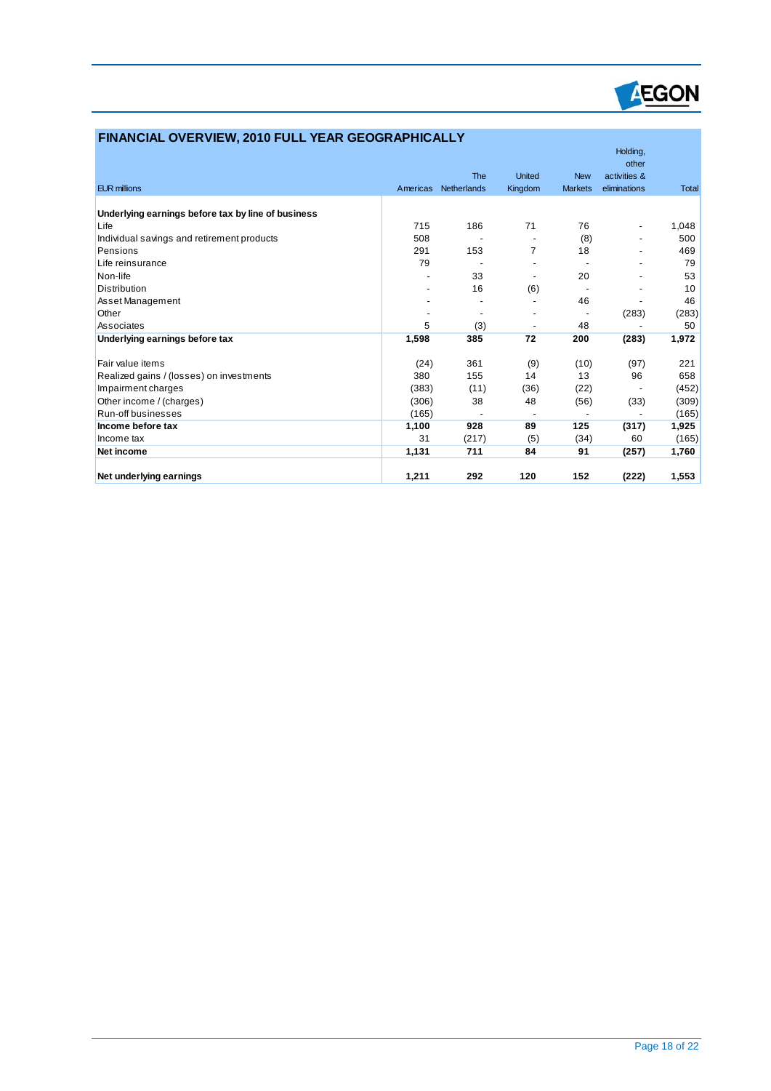

| FINANCIAL OVERVIEW, 2010 FULL YEAR GEOGRAPHICALLY  |          |                           |                          |                              |                                                   |              |
|----------------------------------------------------|----------|---------------------------|--------------------------|------------------------------|---------------------------------------------------|--------------|
| <b>EUR millions</b>                                | Americas | <b>The</b><br>Netherlands | <b>United</b><br>Kingdom | <b>New</b><br><b>Markets</b> | Holding,<br>other<br>activities &<br>eliminations | <b>Total</b> |
|                                                    |          |                           |                          |                              |                                                   |              |
| Underlying earnings before tax by line of business |          |                           |                          |                              |                                                   |              |
| Life                                               | 715      | 186                       | 71                       | 76                           | $\overline{\phantom{a}}$                          | 1,048        |
| Individual savings and retirement products         | 508      |                           |                          | (8)                          | $\overline{a}$                                    | 500          |
| Pensions                                           | 291      | 153                       | $\overline{7}$           | 18                           |                                                   | 469          |
| Life reinsurance                                   | 79       |                           |                          |                              |                                                   | 79           |
| Non-life                                           |          | 33                        |                          | 20                           |                                                   | 53           |
| <b>Distribution</b>                                |          | 16                        | (6)                      |                              |                                                   | 10           |
| Asset Management                                   |          |                           |                          | 46                           |                                                   | 46           |
| Other                                              |          |                           |                          |                              | (283)                                             | (283)        |
| Associates                                         | 5        | (3)                       |                          | 48                           |                                                   | 50           |
| Underlying earnings before tax                     | 1,598    | 385                       | 72                       | 200                          | (283)                                             | 1,972        |
| Fair value items                                   | (24)     | 361                       | (9)                      | (10)                         | (97)                                              | 221          |
| Realized gains / (losses) on investments           | 380      | 155                       | 14                       | 13                           | 96                                                | 658          |
| Impairment charges                                 | (383)    | (11)                      | (36)                     | (22)                         |                                                   | (452)        |
| Other income / (charges)                           | (306)    | 38                        | 48                       | (56)                         | (33)                                              | (309)        |
| Run-off businesses                                 | (165)    |                           | $\overline{\phantom{a}}$ |                              |                                                   | (165)        |
| Income before tax                                  | 1,100    | 928                       | 89                       | 125                          | (317)                                             | 1,925        |
| Income tax                                         | 31       | (217)                     | (5)                      | (34)                         | 60                                                | (165)        |
| Net income                                         | 1,131    | 711                       | 84                       | 91                           | (257)                                             | 1,760        |
| Net underlying earnings                            | 1.211    | 292                       | 120                      | 152                          | (222)                                             | 1.553        |

 $\overline{a}$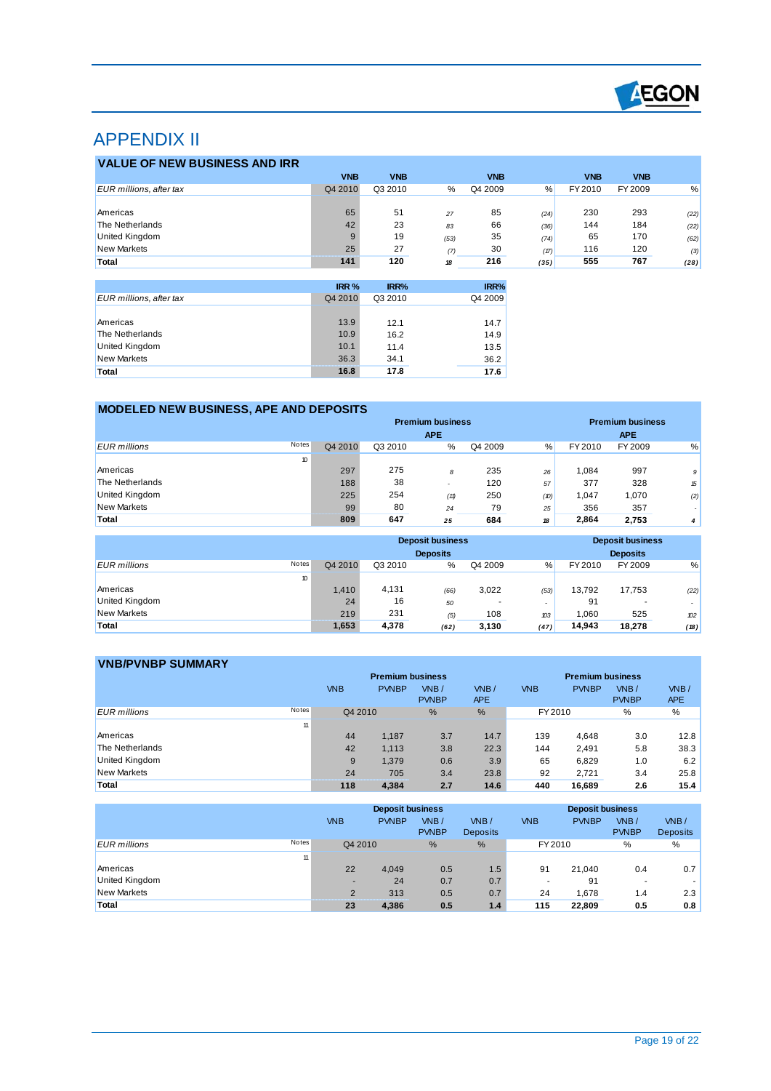

# APPENDIX II

 $\overline{a}$ 

| <b>VALUE OF NEW BUSINESS AND IRR</b> |            |            |      |            |      |            |            |      |
|--------------------------------------|------------|------------|------|------------|------|------------|------------|------|
|                                      | <b>VNB</b> | <b>VNB</b> |      | <b>VNB</b> |      | <b>VNB</b> | <b>VNB</b> |      |
| EUR millions, after tax              | Q4 2010    | Q3 2010    | %    | Q4 2009    | $\%$ | FY 2010    | FY 2009    | %    |
|                                      |            |            |      |            |      |            |            |      |
| Americas                             | 65         | 51         | 27   | 85         | (24) | 230        | 293        | (22) |
| The Netherlands                      | 42         | 23         | 83   | 66         | (36) | 144        | 184        | (22) |
| <b>United Kingdom</b>                |            | 19         | (53) | 35         | (74) | 65         | 170        | (62) |
| <b>New Markets</b>                   | 25         | 27         | (7)  | 30         | (17) | 116        | 120        | (3)  |
| Total                                | 141        | 120        | 18   | 216        | (35) | 555        | 767        | (28) |

|                         | IRR %   | IRR%    | IRR%    |
|-------------------------|---------|---------|---------|
| EUR millions, after tax | Q4 2010 | Q3 2010 | Q4 2009 |
|                         |         |         |         |
| Americas                | 13.9    | 12.1    | 14.7    |
| The Netherlands         | 10.9    | 16.2    | 14.9    |
| <b>United Kingdom</b>   | 10.1    | 11.4    | 13.5    |
| <b>New Markets</b>      | 36.3    | 34.1    | 36.2    |
| Total                   | 16.8    | 17.8    | 17.6    |

# **MODELED NEW BUSINESS, APE AND DEPOSITS**

|                              |         |         | <b>Premium business</b> |         | <b>Premium business</b> |         |            |                |
|------------------------------|---------|---------|-------------------------|---------|-------------------------|---------|------------|----------------|
|                              |         |         | <b>APE</b>              |         |                         |         | <b>APE</b> |                |
| Notes<br><b>EUR</b> millions | Q4 2010 | Q3 2010 | %                       | Q4 2009 | %                       | FY 2010 | FY 2009    | %              |
| 10                           |         |         |                         |         |                         |         |            |                |
| Americas                     | 297     | 275     | 8                       | 235     | 26                      | 1.084   | 997        | 9              |
| The Netherlands              | 188     | 38      |                         | 120     | 57                      | 377     | 328        | 15             |
| United Kingdom               | 225     | 254     | (11)                    | 250     | (10)                    | 1,047   | 1,070      | (2)            |
| <b>New Markets</b>           | 99      | 80      | 24                      | 79      | 25                      | 356     | 357        | . .            |
| Total                        | 809     | 647     | 25                      | 684     | 18                      | 2,864   | 2.753      | $\overline{4}$ |

|                              |         |         | <b>Deposit business</b><br><b>Deposits</b> |         |                          |         | <b>Deposit business</b><br><b>Deposits</b> |      |
|------------------------------|---------|---------|--------------------------------------------|---------|--------------------------|---------|--------------------------------------------|------|
| Notes<br><b>EUR</b> millions | Q4 2010 | Q3 2010 | %                                          | Q4 2009 | %                        | FY 2010 | FY 2009                                    | %    |
| 10                           |         |         |                                            |         |                          |         |                                            |      |
| Americas                     | 1,410   | 4,131   | (66)                                       | 3,022   | (53)                     | 13,792  | 17,753                                     | (22) |
| <b>United Kingdom</b>        | 24      | 16      | 50                                         |         | $\overline{\phantom{a}}$ | 91      | ۰                                          |      |
| <b>New Markets</b>           | 219     | 231     | (5)                                        | 108     | 103                      | 1.060   | 525                                        | 102  |
| Total                        | 1,653   | 4,378   | (62)                                       | 3,130   | (47)                     | 14,943  | 18.278                                     | (18) |

| <b>VNB/PVNBP SUMMARY</b>            |            |                         |              |            |            |                         |              |            |
|-------------------------------------|------------|-------------------------|--------------|------------|------------|-------------------------|--------------|------------|
|                                     |            | <b>Premium business</b> |              |            |            | <b>Premium business</b> |              |            |
|                                     | <b>VNB</b> | <b>PVNBP</b>            | VNB/         | VNB/       | <b>VNB</b> | <b>PVNBP</b>            | VNB/         | VNB/       |
|                                     |            |                         | <b>PVNBP</b> | <b>APE</b> |            |                         | <b>PVNBP</b> | <b>APE</b> |
| <b>Notes</b><br><b>EUR</b> millions | Q4 2010    |                         | %            | %          | FY 2010    |                         | %            | %          |
| 11                                  |            |                         |              |            |            |                         |              |            |
| Americas                            | 44         | 1.187                   | 3.7          | 14.7       | 139        | 4.648                   | 3.0          | 12.8       |
| The Netherlands                     | 42         | 1.113                   | 3.8          | 22.3       | 144        | 2.491                   | 5.8          | 38.3       |
| United Kingdom                      | 9          | 1.379                   | 0.6          | 3.9        | 65         | 6,829                   | 1.0          | 6.2        |
| <b>New Markets</b>                  | 24         | 705                     | 3.4          | 23.8       | 92         | 2.721                   | 3.4          | 25.8       |
| Total                               | 118        | 4.384                   | 2.7          | 14.6       | 440        | 16,689                  | 2.6          | 15.4       |

|                              |                | <b>Deposit business</b> |                        |                         |            | <b>Deposit business</b> |                          |                         |  |
|------------------------------|----------------|-------------------------|------------------------|-------------------------|------------|-------------------------|--------------------------|-------------------------|--|
|                              | <b>VNB</b>     | <b>PVNBP</b>            | $W$ B/<br><b>PVNBP</b> | VNB/<br><b>Deposits</b> | <b>VNB</b> | <b>PVNBP</b>            | VNB/<br><b>PVNBP</b>     | VNB/<br><b>Deposits</b> |  |
| Notes<br><b>EUR</b> millions |                | Q4 2010                 | $\%$                   | $\frac{9}{6}$           | FY 2010    |                         | %                        | %                       |  |
|                              | 11             |                         |                        |                         |            |                         |                          |                         |  |
| Americas                     | 22             | 4.049                   | 0.5                    | 1.5                     | 91         | 21.040                  | 0.4                      | 0.7                     |  |
| <b>United Kingdom</b>        |                | 24<br>-                 | 0.7                    | 0.7                     |            | 91                      | $\overline{\phantom{a}}$ |                         |  |
| New Markets                  | $\overline{2}$ | 313                     | 0.5                    | 0.7                     | 24         | 1.678                   | 1.4                      | 2.3                     |  |
| Total                        | 23             | 4,386                   | 0.5                    | 1.4                     | 115        | 22,809                  | 0.5                      | 0.8                     |  |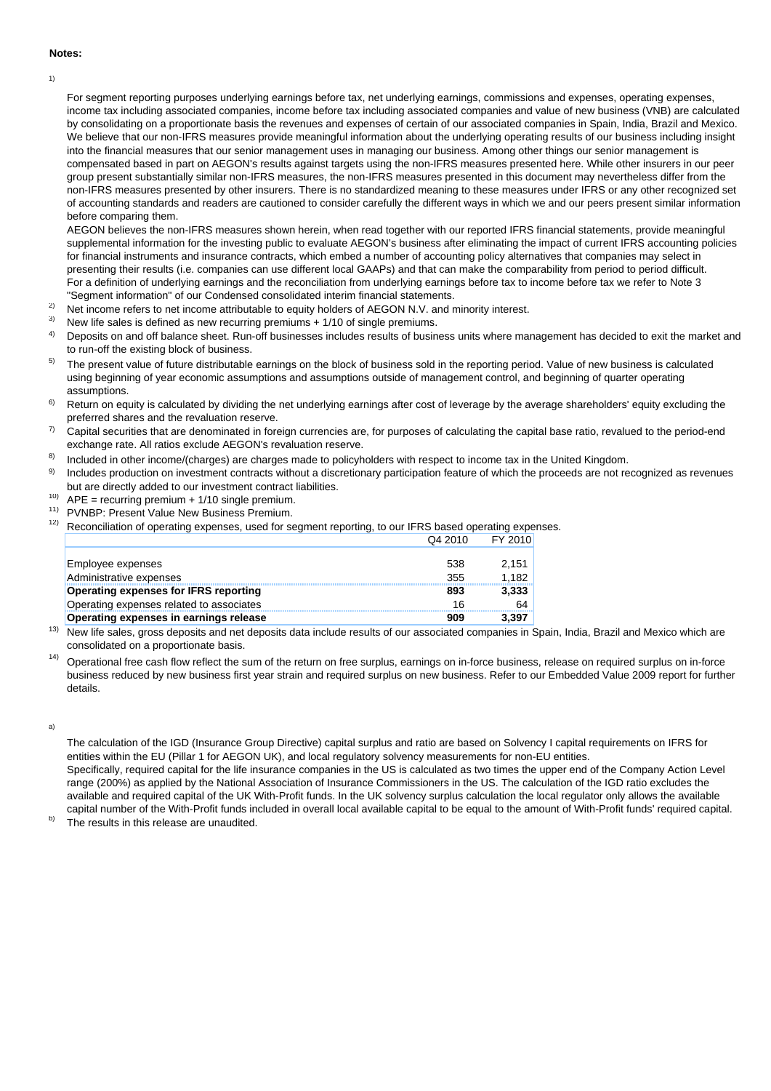#### **Notes:**

1)

For segment reporting purposes underlying earnings before tax, net underlying earnings, commissions and expenses, operating expenses, income tax including associated companies, income before tax including associated companies and value of new business (VNB) are calculated by consolidating on a proportionate basis the revenues and expenses of certain of our associated companies in Spain, India, Brazil and Mexico. We believe that our non-IFRS measures provide meaningful information about the underlying operating results of our business including insight into the financial measures that our senior management uses in managing our business. Among other things our senior management is compensated based in part on AEGON's results against targets using the non-IFRS measures presented here. While other insurers in our peer group present substantially similar non-IFRS measures, the non-IFRS measures presented in this document may nevertheless differ from the non-IFRS measures presented by other insurers. There is no standardized meaning to these measures under IFRS or any other recognized set of accounting standards and readers are cautioned to consider carefully the different ways in which we and our peers present similar information before comparing them.

AEGON believes the non-IFRS measures shown herein, when read together with our reported IFRS financial statements, provide meaningful supplemental information for the investing public to evaluate AEGON's business after eliminating the impact of current IFRS accounting policies for financial instruments and insurance contracts, which embed a number of accounting policy alternatives that companies may select in presenting their results (i.e. companies can use different local GAAPs) and that can make the comparability from period to period difficult. For a definition of underlying earnings and the reconciliation from underlying earnings before tax to income before tax we refer to Note 3 "Segment information" of our Condensed consolidated interim financial statements.

- 2) Net income refers to net income attributable to equity holders of AEGON N.V. and minority interest.
- 3) New life sales is defined as new recurring premiums + 1/10 of single premiums.
- 4) Deposits on and off balance sheet. Run-off businesses includes results of business units where management has decided to exit the market and to run-off the existing block of business.
- 5) The present value of future distributable earnings on the block of business sold in the reporting period. Value of new business is calculated using beginning of year economic assumptions and assumptions outside of management control, and beginning of quarter operating assumptions.
- 6) Return on equity is calculated by dividing the net underlying earnings after cost of leverage by the average shareholders' equity excluding the preferred shares and the revaluation reserve.
- 7) Capital securities that are denominated in foreign currencies are, for purposes of calculating the capital base ratio, revalued to the period-end exchange rate. All ratios exclude AEGON's revaluation reserve.
- 8) Included in other income/(charges) are charges made to policyholders with respect to income tax in the United Kingdom.
- 9) Includes production on investment contracts without a discretionary participation feature of which the proceeds are not recognized as revenues but are directly added to our investment contract liabilities.
- 10)  $APE = recurring premium + 1/10 single premium$ .
- 11) PVNBP: Present Value New Business Premium.
- 12) Reconciliation of operating expenses, used for segment reporting, to our IFRS based operating expenses.  $EV$  2010

|                                               | 27201 | <u>. . zuw</u> |
|-----------------------------------------------|-------|----------------|
|                                               |       |                |
| Employee expenses                             | 538   | 2.151          |
| Administrative expenses                       | 355   | 1.182          |
| <b>Operating expenses for IFRS reporting</b>  | 893   | 3,333          |
| Operating expenses related to associates      | 16    | 64             |
| <b>Operating expenses in earnings release</b> | 909   | 3.397          |

<sup>13)</sup> New life sales, gross deposits and net deposits data include results of our associated companies in Spain, India, Brazil and Mexico which are consolidated on a proportionate basis.

 $14)$  Operational free cash flow reflect the sum of the return on free surplus, earnings on in-force business, release on required surplus on in-force business reduced by new business first year strain and required surplus on new business. Refer to our Embedded Value 2009 report for further details.

a)

The calculation of the IGD (Insurance Group Directive) capital surplus and ratio are based on Solvency I capital requirements on IFRS for entities within the EU (Pillar 1 for AEGON UK), and local regulatory solvency measurements for non-EU entities.

Specifically, required capital for the life insurance companies in the US is calculated as two times the upper end of the Company Action Level range (200%) as applied by the National Association of Insurance Commissioners in the US. The calculation of the IGD ratio excludes the available and required capital of the UK With-Profit funds. In the UK solvency surplus calculation the local regulator only allows the available capital number of the With-Profit funds included in overall local available capital to be equal to the amount of With-Profit funds' required capital.

b) The results in this release are unaudited.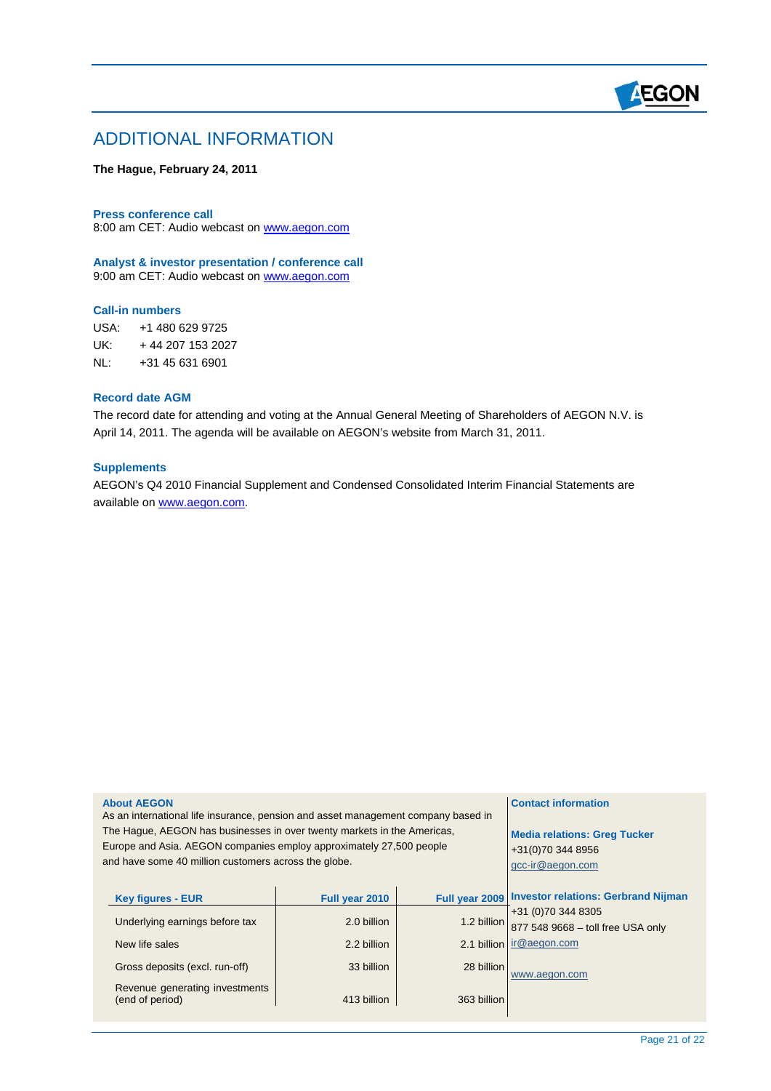

# ADDITIONAL INFORMATION

# **The Hague, February 24, 2011**

8:00 am CET: Audio webcast on [www.aegon.com](http://www.aegon.com/) **Press conference call** 

**Analyst & investor presentation / conference call**  9:00 am CET: Audio webcast on www.aegon.com

# **Call-in numbers**

 $\overline{a}$ 

USA: +1 480 629 9725 UK: + 44 207 153 2027 NL: +31 45 631 6901

# **Record date AGM**

The record date for attending and voting at the Annual General Meeting of Shareholders of AEGON N.V. is April 14, 2011. The agenda will be available on AEGON's website from March 31, 2011.

#### **Supplements**

AEGON's Q4 2010 Financial Supplement and Condensed Consolidated Interim Financial Statements are available on [www.aegon.com](http://www.aegon.com/).

| <b>About AEGON</b><br>As an international life insurance, pension and asset management company based in<br>The Hague, AEGON has businesses in over twenty markets in the Americas,<br>Europe and Asia. AEGON companies employ approximately 27,500 people<br>and have some 40 million customers across the globe. | <b>Contact information</b><br><b>Media relations: Greg Tucker</b><br>+31(0)70 344 8956<br>gcc-ir@aegon.com |                                             |                                                                                                                                                     |
|-------------------------------------------------------------------------------------------------------------------------------------------------------------------------------------------------------------------------------------------------------------------------------------------------------------------|------------------------------------------------------------------------------------------------------------|---------------------------------------------|-----------------------------------------------------------------------------------------------------------------------------------------------------|
| <b>Key figures - EUR</b><br>Underlying earnings before tax<br>New life sales<br>Gross deposits (excl. run-off)<br>Revenue generating investments                                                                                                                                                                  | Full year 2010<br>2.0 billion<br>2.2 billion<br>33 billion                                                 | Full year 2009<br>1.2 billion<br>28 billion | <b>Investor relations: Gerbrand Nijman</b><br>+31 (0) 70 344 8305<br>877 548 9668 - toll free USA only<br>2.1 billion ir@aegon.com<br>www.aegon.com |
| (end of period)                                                                                                                                                                                                                                                                                                   | 413 billion                                                                                                | 363 billion                                 |                                                                                                                                                     |